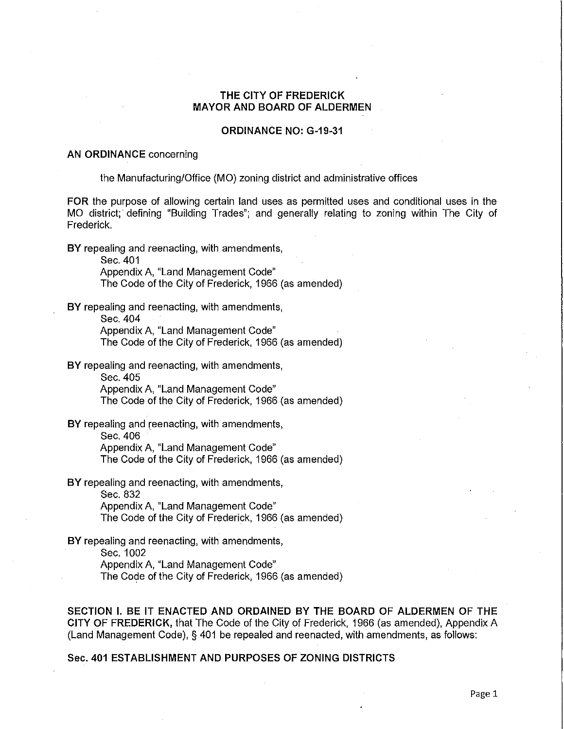# **THE CITY OF FREDERICK MAYOR AND BOARD OF ALDERMEN**

### **ORDINANCE NO: G-19-31**

#### **AN ORDINANCE** concerning

the Manufacturing/Office (MO) zoning district and administrative offices

**FOR** the purpose of allowing certain land uses as permitted uses and conditional uses in the MO district; defining "Building Trades"; and generally relating to zoning within The City of Frederick.

**BY** repealing and reenacting, with amendments,

Sec. 401

Appendix A, "Land Management Code" The Code of the City of Frederick, 1966 (as amended)

**BY** repealing and reenacting, with amendments,

Sec. 404

Appendix A, "Land Management Code"

The Code of the City of Frederick, 1966 (as amended)

**BY** repealing and reenacting, with amendments,

Sec. 405

Appendix A, "Land Management Code"

The Code of the City of Frederick, 1966 (as amended)

**BY** repealing and reenacting, with amendments,

Sec. 406

Appendix A, "Land Management Code"

The Code of the City of Frederick, 1966 (as amended)

**BY** repealing and reenacting, with amendments, Sec.832 Appendix A, "Land Management Code" The Code of the City of Frederick, 1966 (as amended)

**BY** repealing and reenacting, with amendments, Sec. 1002 Appendix A, "Land Management Code" The Code of the City of Frederick, 1966 (as amended)

SECTION I. BE IT ENACTED AND ORDAINED BY THE BOARD OF ALDERMEN OF THE CITY OF FREDERICK, that The Code of the City of Frederick, 1966 (as amended), Appendix A (Land Management Code), § 401 be repealed and reenacted, with amendments, as follows:

## Sec. 401 ESTABLISHMENT AND PURPOSES OF ZONING DISTRICTS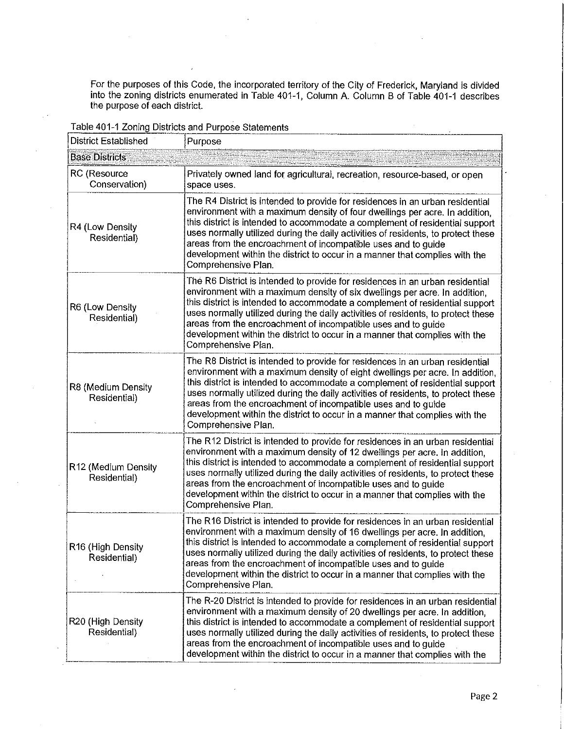For the purposes of this Code, the incorporated territory of the City of Frederick, Maryland is divided into the zoning districts enumerated **in** Table 401-1, Column A Column B of Table 401-1 describes the purpose of each district.

| <b>District Established</b>         | Purpose                                                                                                                                                                                                                                                                                                                                                                                                                                                                                                   |
|-------------------------------------|-----------------------------------------------------------------------------------------------------------------------------------------------------------------------------------------------------------------------------------------------------------------------------------------------------------------------------------------------------------------------------------------------------------------------------------------------------------------------------------------------------------|
| <b>Base Districts</b>               |                                                                                                                                                                                                                                                                                                                                                                                                                                                                                                           |
| RC (Resource<br>Conservation)       | Privately owned land for agricultural, recreation, resource-based, or open<br>space uses.                                                                                                                                                                                                                                                                                                                                                                                                                 |
| R4 (Low Density<br>Residential)     | The R4 District is intended to provide for residences in an urban residential<br>environment with a maximum density of four dwellings per acre. In addition,<br>this district is intended to accommodate a complement of residential support<br>uses normally utilized during the daily activities of residents, to protect these<br>areas from the encroachment of incompatible uses and to guide<br>development within the district to occur in a manner that complies with the<br>Comprehensive Plan.  |
| R6 (Low Density<br>Residential)     | The R6 District is intended to provide for residences in an urban residential<br>environment with a maximum density of six dwellings per acre. In addition,<br>this district is intended to accommodate a complement of residential support<br>uses normally utilized during the daily activities of residents, to protect these<br>areas from the encroachment of incompatible uses and to guide<br>development within the district to occur in a manner that complies with the<br>Comprehensive Plan.   |
| R8 (Medium Density<br>Residential)  | The R8 District is intended to provide for residences in an urban residential<br>environment with a maximum density of eight dwellings per acre. In addition,<br>this district is intended to accommodate a complement of residential support<br>uses normally utilized during the daily activities of residents, to protect these<br>areas from the encroachment of incompatible uses and to guide<br>development within the district to occur in a manner that complies with the<br>Comprehensive Plan. |
| R12 (Medium Density<br>Residential) | The R12 District is intended to provide for residences in an urban residential<br>environment with a maximum density of 12 dwellings per acre, in addition,<br>this district is intended to accommodate a complement of residential support<br>uses normally utilized during the daily activities of residents, to protect these<br>areas from the encroachment of incompatible uses and to guide<br>development within the district to occur in a manner that complies with the<br>Comprehensive Plan.   |
| R16 (High Density<br>Residential)   | The R16 District is intended to provide for residences in an urban residential<br>environment with a maximum density of 16 dwellings per acre. In addition,<br>this district is intended to accommodate a complement of residential support<br>uses normally utilized during the daily activities of residents, to protect these<br>areas from the encroachment of incompatible uses and to guide<br>development within the district to occur in a manner that complies with the<br>Comprehensive Plan.   |
| R20 (High Density<br>Residential).  | The R-20 District is intended to provide for residences in an urban residential<br>environment with a maximum density of 20 dwellings per acre. In addition,<br>this district is intended to accommodate a complement of residential support<br>uses normally utilized during the daily activities of residents, to protect these<br>areas from the encroachment of incompatible uses and to guide<br>development within the district to occur in a manner that complies with the                         |

Table 401-1 Zoning Districts and Purpose Statements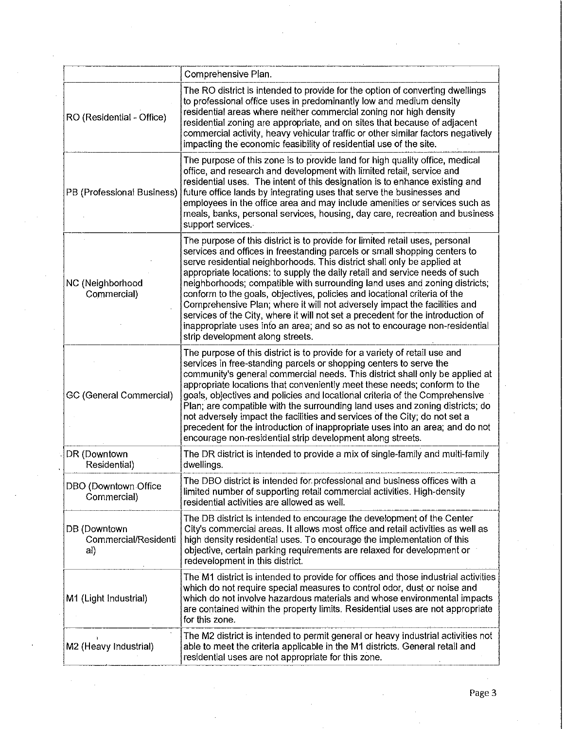|                                             | Comprehensive Plan.                                                                                                                                                                                                                                                                                                                                                                                                                                                                                                                                                                                                                                                                                                                                               |
|---------------------------------------------|-------------------------------------------------------------------------------------------------------------------------------------------------------------------------------------------------------------------------------------------------------------------------------------------------------------------------------------------------------------------------------------------------------------------------------------------------------------------------------------------------------------------------------------------------------------------------------------------------------------------------------------------------------------------------------------------------------------------------------------------------------------------|
| RO (Residential - Office)                   | The RO district is intended to provide for the option of converting dwellings<br>to professional office uses in predominantly low and medium density<br>residential areas where neither commercial zoning nor high density<br>residential zoning are appropriate, and on sites that because of adjacent<br>commercial activity, heavy vehicular traffic or other similar factors negatively<br>impacting the economic feasibility of residential use of the site.                                                                                                                                                                                                                                                                                                 |
| PB (Professional Business)                  | The purpose of this zone is to provide land for high quality office, medical<br>office, and research and development with limited retail, service and<br>residential uses. The intent of this designation is to enhance existing and<br>future office lands by integrating uses that serve the businesses and<br>employees in the office area and may include amenities or services such as<br>meals, banks, personal services, housing, day care, recreation and business<br>support services.                                                                                                                                                                                                                                                                   |
| NC (Neighborhood<br>Commercial)             | The purpose of this district is to provide for limited retail uses, personal<br>services and offices in freestanding parcels or small shopping centers to<br>serve residential neighborhoods. This district shall only be applied at<br>appropriate locations: to supply the daily retail and service needs of such<br>neighborhoods; compatible with surrounding land uses and zoning districts;<br>conform to the goals, objectives, policies and locational criteria of the<br>Comprehensive Plan; where it will not adversely impact the facilities and<br>services of the City, where it will not set a precedent for the introduction of<br>inappropriate uses into an area; and so as not to encourage non-residential<br>strip development along streets. |
| GC (General Commercial)                     | The purpose of this district is to provide for a variety of retail use and<br>services in free-standing parcels or shopping centers to serve the<br>community's general commercial needs. This district shall only be applied at<br>appropriate locations that conveniently meet these needs; conform to the<br>goals, objectives and policies and locational criteria of the Comprehensive<br>Plan; are compatible with the surrounding land uses and zoning districts; do<br>not adversely impact the facilities and services of the City; do not set a<br>precedent for the introduction of inappropriate uses into an area; and do not<br>encourage non-residential strip development along streets.                                                          |
| DR (Downtown<br>Residential)                | The DR district is intended to provide a mix of single-family and multi-family<br>dwellings.                                                                                                                                                                                                                                                                                                                                                                                                                                                                                                                                                                                                                                                                      |
| DBO (Downtown Office<br>Commercial)         | The DBO district is intended for professional and business offices with a<br>limited number of supporting retail commercial activities. High-density<br>residential activities are allowed as well.                                                                                                                                                                                                                                                                                                                                                                                                                                                                                                                                                               |
| DB (Downtown<br>Commercial/Residenti<br>al) | The DB district is intended to encourage the development of the Center<br>City's commercial areas. It allows most office and retail activities as well as<br>high density residential uses. To encourage the implementation of this<br>objective, certain parking requirements are relaxed for development or<br>redevelopment in this district.                                                                                                                                                                                                                                                                                                                                                                                                                  |
| M1 (Light Industrial)                       | The M1 district is intended to provide for offices and those industrial activities<br>which do not require special measures to control odor, dust or noise and<br>which do not involve hazardous materials and whose environmental impacts<br>are contained within the property limits. Residential uses are not appropriate<br>for this zone.                                                                                                                                                                                                                                                                                                                                                                                                                    |
| M2 (Heavy Industrial)                       | The M2 district is intended to permit general or heavy industrial activities not<br>able to meet the criteria applicable in the M1 districts. General retail and<br>residential uses are not appropriate for this zone.                                                                                                                                                                                                                                                                                                                                                                                                                                                                                                                                           |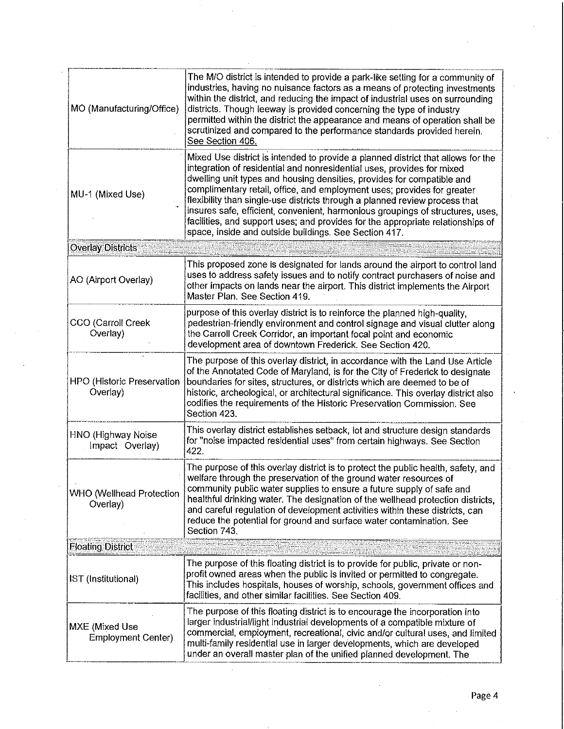| MO (Manufacturing/Office)                   | The M/O district is intended to provide a park-like setting for a community of<br>industries, having no nuisance factors as a means of protecting investments<br>within the district, and reducing the impact of industrial uses on surrounding<br>districts. Though leeway is provided concerning the type of industry<br>permitted within the district the appearance and means of operation shall be<br>scrutinized and compared to the performance standards provided herein.<br>See Section 406.                                                                                                                        |
|---------------------------------------------|------------------------------------------------------------------------------------------------------------------------------------------------------------------------------------------------------------------------------------------------------------------------------------------------------------------------------------------------------------------------------------------------------------------------------------------------------------------------------------------------------------------------------------------------------------------------------------------------------------------------------|
| MU-1 (Mixed Use)                            | Mixed Use district is intended to provide a planned district that allows for the<br>integration of residential and nonresidential uses, provides for mixed<br>dwelling unit types and housing densities, provides for compatible and<br>complimentary retail, office, and employment uses; provides for greater<br>flexibility than single-use districts through a planned review process that<br>insures safe, efficient, convenient, harmonious groupings of structures, uses,<br>facilities, and support uses; and provides for the appropriate relationships of<br>space, inside and outside buildings. See Section 417. |
| <b>Overlay Districts</b>                    |                                                                                                                                                                                                                                                                                                                                                                                                                                                                                                                                                                                                                              |
| AO (Airport Overlay)                        | This proposed zone is designated for lands around the airport to control land<br>uses to address safety issues and to notify contract purchasers of noise and<br>other impacts on lands near the airport. This district implements the Airport<br>Master Plan, See Section 419.                                                                                                                                                                                                                                                                                                                                              |
| CCO (Carroll Creek<br>Overlay)              | purpose of this overlay district is to reinforce the planned high-quality,<br>pedestrian-friendly environment and control signage and visual clutter along<br>the Carroll Creek Corridor, an important focal point and economic<br>development area of downtown Frederick. See Section 420.                                                                                                                                                                                                                                                                                                                                  |
| HPO (Historic Preservation<br>Overlay)      | The purpose of this overlay district, in accordance with the Land Use Article<br>of the Annotated Code of Maryland, is for the City of Frederick to designate<br>boundaries for sites, structures, or districts which are deemed to be of<br>historic, archeological, or architectural significance. This overlay district also<br>codifies the requirements of the Historic Preservation Commission. See<br>Section 423.                                                                                                                                                                                                    |
| HNO (Highway Noise<br>Impact Overlay)       | This overlay district establishes setback, lot and structure design standards<br>for "noise impacted residential uses" from certain highways. See Section<br>422.                                                                                                                                                                                                                                                                                                                                                                                                                                                            |
| <b>WHO (Wellhead Protection</b><br>Overlay) | The purpose of this overlay district is to protect the public health, safety, and<br>welfare through the preservation of the ground water resources of<br>community public water supplies to ensure a future supply of safe and<br>healthful drinking water. The designation of the wellhead protection districts,<br>and careful regulation of development activities within these districts, can<br>reduce the potential for ground and surface water contamination. See<br>Section 743.                                                                                                                                   |
| <b>Floating District</b>                    |                                                                                                                                                                                                                                                                                                                                                                                                                                                                                                                                                                                                                              |
| IST (Institutional)                         | The purpose of this floating district is to provide for public, private or non-<br>profit owned areas when the public is invited or permitted to congregate.<br>This includes hospitals, houses of worship, schools, government offices and<br>facilities, and other similar facilities. See Section 409.                                                                                                                                                                                                                                                                                                                    |
| MXE (Mixed Use<br>Employment Center)        | The purpose of this floating district is to encourage the incorporation into<br>larger industrial/light industrial developments of a compatible mixture of<br>commercial, employment, recreational, civic and/or cultural uses, and limited<br>multi-family residential use in larger developments, which are developed<br>under an overall master plan of the unified planned development. The                                                                                                                                                                                                                              |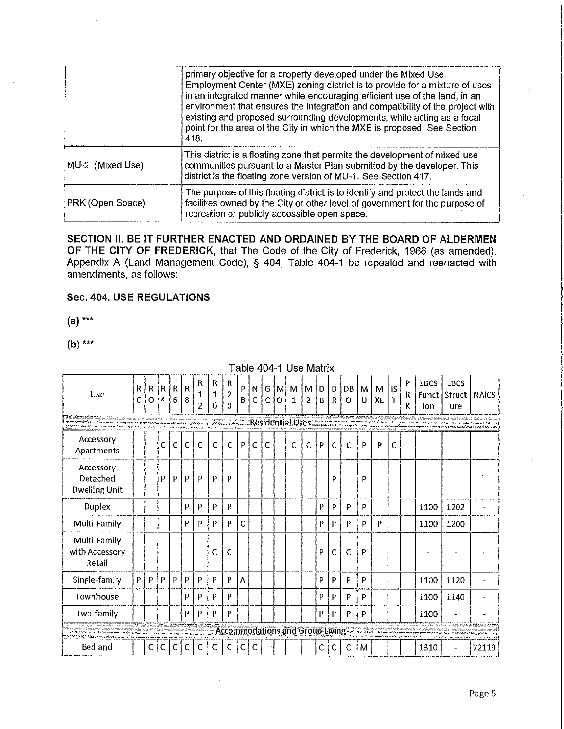|                  | primary objective for a property developed under the Mixed Use<br>Employment Center (MXE) zoning district is to provide for a mixture of uses<br>in an integrated manner while encouraging efficient use of the land, in an<br>environment that ensures the integration and compatibility of the project with<br>existing and proposed surrounding developments, while acting as a focal<br>point for the area of the City in which the MXE is proposed. See Section<br>418. |
|------------------|------------------------------------------------------------------------------------------------------------------------------------------------------------------------------------------------------------------------------------------------------------------------------------------------------------------------------------------------------------------------------------------------------------------------------------------------------------------------------|
| MU-2 (Mixed Use) | This district is a floating zone that permits the development of mixed-use<br>communities pursuant to a Master Plan submitted by the developer. This<br>district is the floating zone version of MU-1. See Section 417.                                                                                                                                                                                                                                                      |
| PRK (Open Space) | The purpose of this floating district is to identify and protect the lands and<br>facilities owned by the City or other level of government for the purpose of<br>recreation or publicly accessible open space.                                                                                                                                                                                                                                                              |

**SECTION II. BE IT FURTHER ENACTED AND ORDAINED BY THE BOARD OF ALDERMEN OF THE CITY OF FREDERICK,** that The Code of the City of Frederick, 1966 (as amended), Appendix A (Land Management Code), § 404, Table 404-1 be repealed and reenacted with amendments, as follows:

## **Sec. 404. USE REGULATIONS**

**(a)** \*\*\*

**(b)** \*\*\*

|                                               |        |              |   |                |              |                          |                                       |                                     |              |                  |              |          | able 404-1 Use Matrix                  |              |              |              |                |        |         |                           |             |                    |                    |                      |
|-----------------------------------------------|--------|--------------|---|----------------|--------------|--------------------------|---------------------------------------|-------------------------------------|--------------|------------------|--------------|----------|----------------------------------------|--------------|--------------|--------------|----------------|--------|---------|---------------------------|-------------|--------------------|--------------------|----------------------|
| Use                                           | R<br>С | R<br>o       | 4 | R   R   R<br>6 | 8            | R<br>1<br>$\overline{c}$ | R<br>$\mathbf{1}$<br>$\boldsymbol{6}$ | $\mathsf{R}$<br>$\overline{2}$<br>0 | $\sf P$<br>В | N<br>$\mathsf C$ | $\mathbf C$  | G M<br>O | M<br>$\mathbf{1}$                      | $M$ D<br>2   | B            | D<br>R       | DB I<br>0      | M<br>U | M<br>XE | <b>IS</b><br>$\mathsf{T}$ | P<br>R<br>K | <b>LBCS</b><br>ion | <b>LBCS</b><br>ure | Funct Struct   NAICS |
|                                               |        |              |   |                |              |                          |                                       |                                     |              |                  |              |          | <b>Residential Uses</b>                |              |              |              |                |        |         |                           |             |                    |                    |                      |
| Accessory<br>Apartments                       |        |              | C | $\overline{C}$ | $\mathsf{C}$ | $\mathsf{C}$             | $\mathbf C$                           | $\mathsf{C}$                        | P            | C                | $\mathsf{C}$ |          | C                                      | $\mathsf{C}$ | $\mathsf{P}$ | $\mathsf{C}$ | $\overline{C}$ | P      | P       | C                         |             |                    |                    |                      |
| Accessory<br>Detached<br><b>Dwelling Unit</b> |        |              | P | P              | P            | P                        | P                                     | P                                   |              |                  |              |          |                                        |              |              | P            |                | P      |         |                           |             |                    |                    |                      |
| <b>Duplex</b>                                 |        |              |   |                | P            | P                        | P                                     | P.                                  |              |                  |              |          |                                        |              | P            | P            | P              | P      |         |                           |             | 1100               | 1202               |                      |
| Multi-Family                                  |        |              |   |                | P            | P                        | P                                     | P                                   | $\mathsf{C}$ |                  |              |          |                                        |              | P            | P            | P.             | P      | P       |                           |             | 1100               | 1200               |                      |
| Multi-Family<br>with Accessory<br>Retail      |        |              |   |                |              |                          | Ċ                                     | C                                   |              |                  |              |          |                                        |              | P            | c            | $\mathsf{C}$   | P      |         |                           |             |                    |                    |                      |
| Single-family                                 | P.     | P            | P | P              | P            | P                        | P                                     | P                                   | A            |                  |              |          |                                        |              | P            | P            | Þ              | P      |         |                           |             | 1100               | 1120               |                      |
| Townhouse                                     |        |              |   |                | P            | P                        | P                                     | P                                   |              |                  |              |          |                                        |              | P            | P            | P              | P      |         |                           |             | 1100               | 1140               |                      |
| Two-family                                    |        |              |   |                | P            | P                        | P                                     | P                                   |              |                  |              |          |                                        |              | P            | P            | P              | P      |         |                           |             | 1100               |                    |                      |
|                                               |        |              |   |                |              |                          |                                       |                                     |              |                  |              |          | <b>Accommodations and Group Living</b> |              |              |              |                |        |         |                           |             |                    |                    |                      |
| Bed and                                       |        | $\mathsf{C}$ | C | C              | C            | C                        | C                                     | C                                   | C I          | -C               |              |          |                                        |              | C            | C            | $\mathsf{C}$   | łМ     |         |                           |             | 1310               |                    | 72119                |

Table 404-1 Use Matrix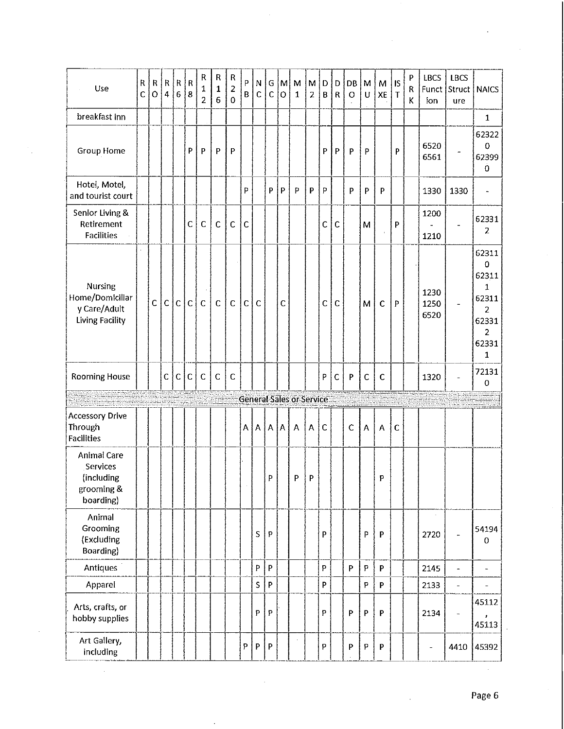| Use                                                                  | ${\sf R}$<br>Ċ | R<br>$\mathbf O$ | R<br>$\overline{4}$ | R<br>$\boldsymbol{6}$ | $\mathsf R$<br>8 | ${\sf R}$<br>1<br>$\overline{2}$ | R<br>$\mathbf{1}$<br>6 | $\mathsf R$<br>2<br>$\mathbf 0$ | P<br>B       | ${\sf N}$<br>$\mathsf{C}$ | G<br>$\mathsf C$          | M <br>$\circ$ | ${\sf M}$<br>$\mathbf{1}$       | M/D<br>$\overline{2}$ | B            | $\mathsf D$<br>$\mathsf{R}$ | DB<br>O      | M<br>U       | M<br>XE                 | <b>IS</b><br>$\mathbf T$ | P<br>R<br>Κ | LBCS<br>ion              | <b>LBCS</b><br>Funct Struct<br>ure | <b>NAICS</b>                                                                                                   |
|----------------------------------------------------------------------|----------------|------------------|---------------------|-----------------------|------------------|----------------------------------|------------------------|---------------------------------|--------------|---------------------------|---------------------------|---------------|---------------------------------|-----------------------|--------------|-----------------------------|--------------|--------------|-------------------------|--------------------------|-------------|--------------------------|------------------------------------|----------------------------------------------------------------------------------------------------------------|
| breakfast inn                                                        |                |                  |                     |                       |                  |                                  |                        |                                 |              |                           |                           |               |                                 |                       |              |                             |              |              |                         |                          |             |                          |                                    | $\mathbf{1}$                                                                                                   |
| Group Home                                                           |                |                  |                     |                       | P                | P                                | P                      | P                               |              |                           |                           |               |                                 |                       | P            | $\mathsf{P}$                | P            | P            |                         | P                        |             | 6520<br>6561             |                                    | 62322<br>0<br>62399<br>0                                                                                       |
| Hotel, Motel,<br>and tourist court                                   |                |                  |                     |                       |                  |                                  |                        |                                 | P            |                           | P                         | $\mathsf{P}$  | P                               | P                     | P            |                             | P            | $\mathsf{P}$ | P                       |                          |             | 1330                     | 1330                               | $\overline{\phantom{a}}$                                                                                       |
| Senior Living &<br>Retirement<br><b>Facilities</b>                   |                |                  |                     |                       | $\mathbf C$      | $\mathsf C$                      | $\mathbf C$            | $\mathsf{C}$                    | $\mathsf{C}$ |                           |                           |               |                                 |                       | $\mathsf C$  | $\mathsf{C}$                |              | M            |                         | P                        |             | 1200<br>1210             |                                    | 62331<br>2                                                                                                     |
| Nursing<br>Home/Domiciliar<br>y Care/Adult<br><b>Living Facility</b> |                | $\mathsf{C}$     | $\mathsf{C}$        | $\mathsf{C}$          | $\mathsf{C}$     | $\mathsf C$                      | $\mathbf c$            | $\mathsf{C}$                    | $\mathsf{C}$ | C                         |                           | $\mathsf{C}$  |                                 |                       | $\mathsf{C}$ | $\mathsf{C}$                |              | M            | $\mathsf{C}$            | P                        |             | 1230<br>1250<br>6520     | $\overline{\phantom{a}}$           | 62311<br>$\mathbf 0$<br>62311<br>$\mathbf 1$<br>62311<br>2<br>62331<br>$\overline{2}$<br>62331<br>$\mathbf{1}$ |
| <b>Rooming House</b>                                                 |                |                  | $\mathsf C$         | $\mathsf{C}$          | $\mathsf{C}$     | $\mathsf C$                      | $\mathsf C$            | $\mathsf{C}$                    |              |                           |                           |               |                                 |                       | P            | $\mathsf C$                 | P            | $\mathsf{C}$ | $\mathsf{C}$            |                          |             | 1320                     |                                    | 72131<br>0                                                                                                     |
|                                                                      |                |                  |                     |                       |                  |                                  |                        |                                 |              |                           |                           |               | <b>General Sales or Service</b> |                       |              |                             |              |              |                         |                          |             |                          |                                    |                                                                                                                |
| <b>Accessory Drive</b><br>Through<br><b>Facilities</b>               |                |                  |                     |                       |                  |                                  |                        |                                 | A            | $\boldsymbol{\mathsf{A}}$ | A   A                     |               | А                               | A                     | $\mathsf{C}$ |                             | $\mathsf{C}$ | A            | $\overline{\mathsf{A}}$ | $\mathsf{C}$             |             |                          |                                    |                                                                                                                |
| Animal Care<br>Services<br>(including<br>grooming &<br>boarding)     |                |                  |                     |                       |                  |                                  |                        |                                 |              |                           | P                         |               | P                               | P                     |              |                             |              |              | P                       |                          |             |                          |                                    |                                                                                                                |
| Animal<br>Grooming<br>(Excluding<br>Boarding)                        |                |                  |                     |                       |                  |                                  |                        |                                 |              | S                         | ${\sf P}$                 |               |                                 |                       | P            |                             |              | P            | P.                      |                          |             | 2720                     | $\ddot{\phantom{1}}$               | 54194<br>0                                                                                                     |
| <b>Antiques</b>                                                      |                |                  |                     |                       |                  |                                  |                        |                                 |              | $\boldsymbol{\mathsf{P}}$ | P                         |               |                                 |                       | P            |                             | P            | P            | P.                      |                          |             | 2145                     | $\overline{a}$                     | $\overline{\phantom{a}}$                                                                                       |
| Apparel                                                              |                |                  |                     |                       |                  |                                  |                        |                                 |              | $\sf S$                   | P                         |               |                                 |                       | P            |                             |              | P            | P                       |                          |             | 2133                     | $\equiv$                           | $\blacksquare$                                                                                                 |
| Arts, crafts, or<br>hobby supplies                                   |                |                  |                     |                       |                  |                                  |                        |                                 |              | P                         | $\mathsf{P}$              |               |                                 |                       | P            |                             | P            | $\mathsf{P}$ | P                       |                          |             | 2134                     | $\blacksquare$                     | 45112<br>,<br>45113                                                                                            |
| Art Gallery,<br>including                                            |                |                  |                     |                       |                  |                                  |                        |                                 | P            | P                         | $\boldsymbol{\mathsf{P}}$ |               |                                 |                       | P            |                             | ${\sf P}$    | P            | P                       |                          |             | $\overline{\phantom{0}}$ | 4410                               | 45392                                                                                                          |

l,

 $\ddot{\phantom{0}}$ 

 $\epsilon$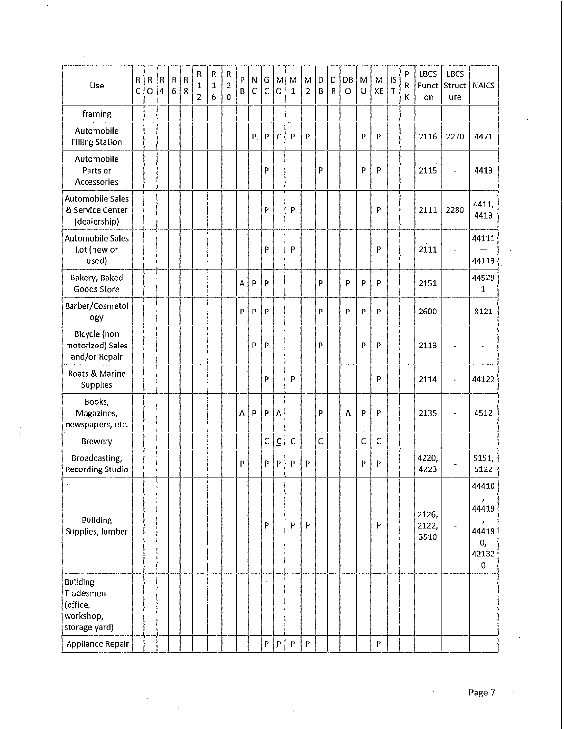| Use                                                                    | R<br>C. | R<br>$\overline{O}$ | R<br>$\overline{\mathbf{4}}$ | ${\sf R}$<br>$\sqrt{6}$ | $\overline{\mathsf{R}}$<br>8 | ${\sf R}$<br>$\mathbf 1$<br>$\overline{2}$ | ${\sf R}$<br>$\mathbf 1$<br>$\boldsymbol{6}$ | ${\sf R}$<br>$\overline{2}$<br>$\boldsymbol{0}$ | P<br>$\mathbf{B}$ | N<br>$\mathsf{C}$ | $\mathfrak{c}_G$ ,<br>$\overline{C}$ | İМİ<br>$\circ$           | M<br>$\mathbf{1}$ | М<br>$\overline{2}$ | D<br>B       | D<br>$\mathsf R$ | DB<br>$\circ$             | M<br>$\mathbf U$ | M<br>XE      | lS.<br>$\mathsf T$ | P<br>R<br>К | LBCS<br>ion            | LBCS<br>Funct Struct<br>ure | <b>NAICS</b>                                |
|------------------------------------------------------------------------|---------|---------------------|------------------------------|-------------------------|------------------------------|--------------------------------------------|----------------------------------------------|-------------------------------------------------|-------------------|-------------------|--------------------------------------|--------------------------|-------------------|---------------------|--------------|------------------|---------------------------|------------------|--------------|--------------------|-------------|------------------------|-----------------------------|---------------------------------------------|
| framing                                                                |         |                     |                              |                         |                              |                                            |                                              |                                                 |                   |                   |                                      |                          |                   |                     |              |                  |                           |                  |              |                    |             |                        |                             |                                             |
| Automobile<br><b>Filling Station</b>                                   |         |                     |                              |                         |                              |                                            |                                              |                                                 |                   | P                 | P                                    | $\mathsf{C}$             | P                 | P                   |              |                  |                           | P                | $\mathsf{P}$ |                    |             | 2116                   | 2270                        | 4471                                        |
| Automobile<br>Parts or<br><b>Accessories</b>                           |         |                     |                              |                         |                              |                                            |                                              |                                                 |                   |                   | P                                    |                          |                   |                     | P            |                  |                           | P                | P.           |                    |             | 2115                   | $\overline{\phantom{0}}$    | 4413                                        |
| <b>Automobile Sales</b><br>& Service Center<br>(dealership)            |         |                     |                              |                         |                              |                                            |                                              |                                                 |                   |                   | P                                    |                          | P                 |                     |              |                  |                           |                  | P            |                    |             | 2111                   | 2280                        | 4411,<br>4413                               |
| <b>Automobile Sales</b><br>Lot (new or<br>used)                        |         |                     |                              |                         |                              |                                            |                                              |                                                 |                   |                   | P                                    |                          | P                 |                     |              |                  |                           |                  | P            |                    |             | 2111                   | $\overline{\phantom{a}}$    | 44111<br>44113                              |
| Bakery, Baked<br>Goods Store                                           |         |                     |                              |                         |                              |                                            |                                              |                                                 | $\mathbf A$       | P                 | P                                    |                          |                   |                     | P            |                  | $\boldsymbol{\mathsf{P}}$ | P                | P            |                    |             | 2151                   | u,                          | 44529<br>1                                  |
| Barber/Cosmetol<br>ogy                                                 |         |                     |                              |                         |                              |                                            |                                              |                                                 | P                 | P                 | P                                    |                          |                   |                     | P            |                  | P                         | P                | P            |                    |             | 2600                   | $\ddot{\phantom{1}}$        | 8121                                        |
| Bicycle (non<br>motorized) Sales<br>and/or Repair                      |         |                     |                              |                         |                              |                                            |                                              |                                                 |                   | P                 | P                                    |                          |                   |                     | P            |                  |                           | P                | P            |                    |             | 2113                   |                             | $\overline{\phantom{a}}$                    |
| Boats & Marine<br>Supplies                                             |         |                     |                              |                         |                              |                                            |                                              |                                                 |                   |                   | P                                    |                          | P                 |                     |              |                  |                           |                  | P            |                    |             | 2114                   | w.                          | 44122                                       |
| Books.<br>Magazines,<br>newspapers, etc.                               |         |                     |                              |                         |                              |                                            |                                              |                                                 | A                 | P                 | P                                    | A                        |                   |                     | P            |                  | A                         | P                | P            |                    |             | 2135                   | $\blacksquare$              | 4512                                        |
| <b>Brewery</b>                                                         |         |                     |                              |                         |                              |                                            |                                              |                                                 |                   |                   | $\mathsf C$                          | $\underline{\mathsf{C}}$ | $\mathsf C$       |                     | $\mathsf{C}$ |                  |                           | $\mathsf C$      | $\mathsf C$  |                    |             |                        |                             |                                             |
| Broadcasting,<br>Recording Studio                                      |         |                     |                              |                         |                              |                                            |                                              |                                                 | P                 |                   | P                                    | P                        | P                 | P                   |              |                  |                           | P                | P            |                    |             | 4220,<br>4223          |                             | 5151,<br>5122                               |
| <b>Building</b><br>Supplies, lumber                                    |         |                     |                              |                         |                              |                                            |                                              |                                                 |                   |                   | P                                    |                          | P                 | P.                  |              |                  |                           |                  | P            |                    |             | 2126,<br>2122,<br>3510 | $\blacksquare$              | 44410<br>44419<br>44419<br>0,<br>42132<br>0 |
| <b>Building</b><br>Tradesmen<br>(office,<br>workshop,<br>storage yard) |         |                     |                              |                         |                              |                                            |                                              |                                                 |                   |                   |                                      |                          |                   |                     |              |                  |                           |                  |              |                    |             |                        |                             |                                             |
| <b>Appliance Repair</b>                                                |         |                     |                              |                         |                              |                                            |                                              |                                                 |                   |                   | P                                    | $\overline{P}$           | P                 | P                   |              |                  |                           |                  | P            |                    |             |                        |                             |                                             |

 $\bar{z}$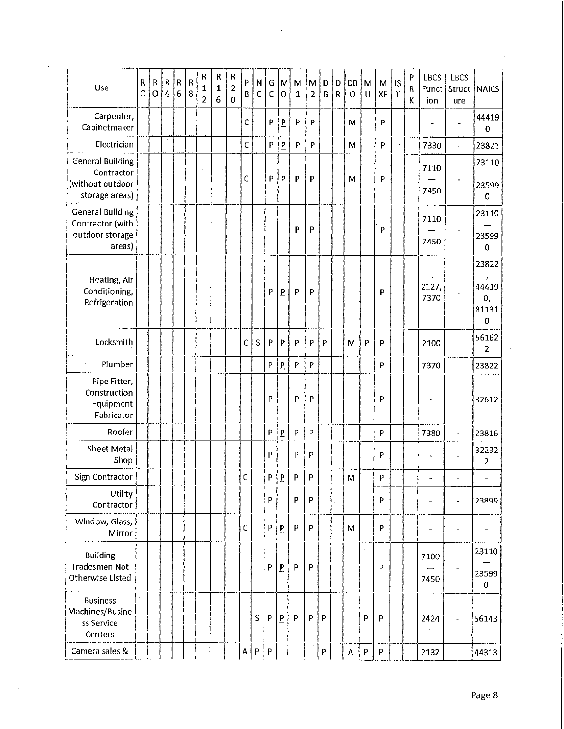| Use                                                                         | ${\sf R}$<br>Ċ | $\sf R$<br>$\overline{O}$ | $\mathsf R$<br>4 | ${\sf R}$<br>6 | $\mathsf R$<br>$\overline{\mathbf{8}}$ | R<br>$\mathbf{1}$<br>$\overline{c}$ | R<br>$\mathbf{1}$<br>6 | R<br>$\overline{2}$<br>$\overline{0}$ | P<br>B       | N<br>C | G<br>C                    | M<br>$\overline{O}$     | M<br>$\mathbf{1}$         | M<br>$\overline{2}$       | D<br>B       | D<br>$\overline{R}$ | DB<br>O            | M<br>$\cup$               | M<br>XE                   | <b>IS</b><br>$\mathsf{T}$ | P<br>R<br>K | LBCS<br>Funct<br>ion | LBCS<br>Struct<br>ure    | <b>NAICS</b>                            |
|-----------------------------------------------------------------------------|----------------|---------------------------|------------------|----------------|----------------------------------------|-------------------------------------|------------------------|---------------------------------------|--------------|--------|---------------------------|-------------------------|---------------------------|---------------------------|--------------|---------------------|--------------------|---------------------------|---------------------------|---------------------------|-------------|----------------------|--------------------------|-----------------------------------------|
| Carpenter,<br>Cabinetmaker                                                  |                |                           |                  |                |                                        |                                     |                        |                                       | C            |        | P                         | $\overline{P}$          | $\mathsf{P}$              | $\boldsymbol{\mathsf{P}}$ |              |                     | M                  |                           | P                         |                           |             |                      |                          | 44419<br>0                              |
| Electrician                                                                 |                |                           |                  |                |                                        |                                     |                        |                                       | C            |        | $\boldsymbol{\mathsf{P}}$ | $\overline{P}$          | $\mathsf{P}$              | $\boldsymbol{\mathsf{P}}$ |              |                     | M                  |                           | $\boldsymbol{\mathsf{P}}$ |                           |             | 7330                 | $\overline{\phantom{0}}$ | 23821                                   |
| <b>General Building</b><br>Contractor<br>(without outdoor<br>storage areas) |                |                           |                  |                |                                        |                                     |                        |                                       | C            |        | $\boldsymbol{\mathsf{p}}$ | $\overline{P}$          | P                         | P                         |              |                     | M                  |                           | P                         |                           |             | 7110<br>7450         | .,                       | 23110<br>23599<br>$\mathbf 0$           |
| <b>General Building</b><br>Contractor (with<br>outdoor storage<br>areas)    |                |                           |                  |                |                                        |                                     |                        |                                       |              |        |                           |                         | P                         | P                         |              |                     |                    |                           | P                         |                           |             | 7110<br>7450         |                          | 23110<br>23599<br>$\bf{0}$              |
| Heating, Air<br>Conditioning,<br>Refrigeration                              |                |                           |                  |                |                                        |                                     |                        |                                       |              |        | P                         | $\overline{P}$          | P                         | P                         |              |                     |                    |                           | p                         |                           |             | 2127,<br>7370        |                          | 23822<br>ż<br>44419<br>0,<br>81131<br>0 |
| Locksmith                                                                   |                |                           |                  |                |                                        |                                     |                        |                                       | $\mathsf{C}$ | S      | $\boldsymbol{\mathsf{P}}$ | $\overline{P}$          | P                         | P                         | P            |                     | M                  | P                         | P                         |                           |             | 2100                 |                          | 56162<br>$\overline{2}$                 |
| Plumber                                                                     |                |                           |                  |                |                                        |                                     |                        |                                       |              |        | P                         | $\overline{b}$          | $\mathsf{P}$              | P                         |              |                     |                    |                           | P                         |                           |             | 7370                 |                          | 23822                                   |
| Pipe Fitter,<br>Construction<br>Equipment<br>Fabricator                     |                |                           |                  |                |                                        |                                     |                        |                                       |              |        | P                         |                         | P                         | P                         |              |                     |                    |                           | P                         |                           |             |                      |                          | 32612                                   |
| Roofer                                                                      |                |                           |                  |                |                                        |                                     |                        |                                       |              |        | P                         | $\overline{P}$          | P                         | P                         |              |                     |                    |                           | P                         |                           |             | 7380                 | $\overline{\phantom{a}}$ | 23816                                   |
| Sheet Metal<br>Shop                                                         |                |                           |                  |                |                                        |                                     |                        |                                       |              |        | P                         |                         | P                         | P                         |              |                     |                    |                           | P                         |                           |             | $\ddot{\phantom{1}}$ |                          | 32232<br>2                              |
| Sign Contractor                                                             |                |                           |                  |                |                                        |                                     |                        |                                       | Ċ            |        | P.                        | P                       | P                         | P                         |              |                     | M                  |                           | Þ                         |                           |             | $\ddot{\phantom{0}}$ |                          |                                         |
| Utility<br>Contractor                                                       |                |                           |                  |                |                                        |                                     |                        |                                       |              |        | P                         |                         | P                         | P                         |              |                     |                    |                           | P                         |                           |             | $\blacksquare$       |                          | 23899                                   |
| Window, Glass,<br>Mirror                                                    |                |                           |                  |                |                                        |                                     |                        |                                       | C            |        | P                         | $\overline{P}$          | P                         | P                         |              |                     | M                  |                           | P                         |                           |             |                      |                          | $\overline{\phantom{a}}$                |
| <b>Building</b><br><b>Tradesmen Not</b><br>Otherwise Listed                 |                |                           |                  |                |                                        |                                     |                        |                                       |              |        | P                         | $\overline{P}$          | $\mathsf{P}$              | P                         |              |                     |                    |                           | P                         |                           |             | 7100<br>7450         |                          | 23110<br>23599<br>0                     |
| <b>Business</b><br>Machines/Busine<br>ss Service<br>Centers                 |                |                           |                  |                |                                        |                                     |                        |                                       |              | S      | $\, {\sf P}$              | $\overline{\mathbf{P}}$ | $\boldsymbol{\mathsf{P}}$ | P                         | $\mathsf{P}$ |                     |                    | P                         | P                         |                           |             | 2424                 |                          | 56143                                   |
| Camera sales &                                                              |                |                           |                  |                |                                        |                                     |                        |                                       | A            | P      | $\sf P$                   |                         |                           |                           | P            |                     | $\pmb{\mathsf{A}}$ | $\boldsymbol{\mathsf{P}}$ | $\mathsf P$               |                           |             | 2132                 | $\blacksquare$           | 44313                                   |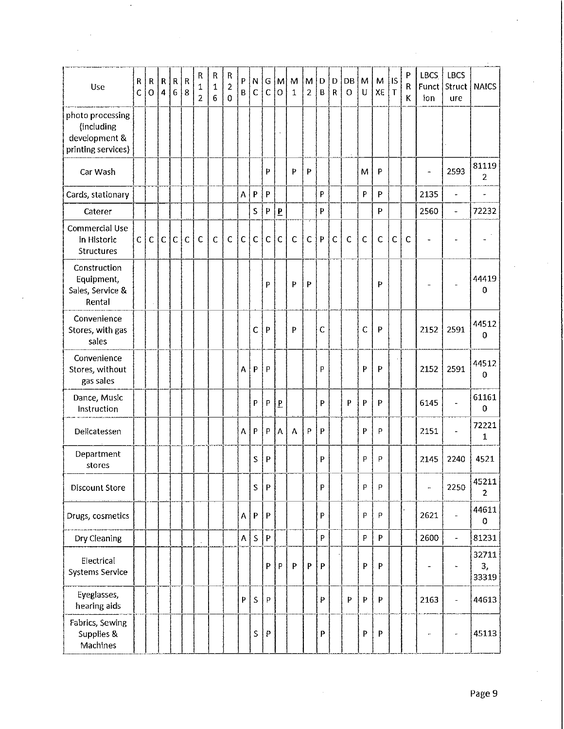| Use                                                                   | $\mathsf{R}$<br>Ċ | ${\sf R}$<br>$\overline{O}$ | ${\sf R}$<br>$\overline{4}$ | R<br>$\overline{6}$ | $\overline{\mathsf{R}}$<br>8 | ${\sf R}$<br>1<br>$\overline{2}$ | ${\sf R}$<br>$\mathbf{1}$<br>$\overline{6}$ | ${\sf R}$<br>$\overline{2}$<br>$\mathbf 0$ | P<br>B       | N<br>$\mathsf{C}$ | G<br>$\mathsf{C}$         | M<br>O         | M<br>1 | M<br>$\overline{2}$ | $\mathsf D$<br>$\overline{B}$ | D<br>$\mathsf R$ | $\mathsf{D}\mathsf{B}$<br>$\circ$ | M<br>U       | M<br>XE                   | İls<br>$\mathsf T$ | $\, {\bf p}$<br>R<br>К | <b>LBCS</b><br>Funct<br>ion | <b>LBCS</b><br> Struct  <br>ure | <b>NAICS</b>            |
|-----------------------------------------------------------------------|-------------------|-----------------------------|-----------------------------|---------------------|------------------------------|----------------------------------|---------------------------------------------|--------------------------------------------|--------------|-------------------|---------------------------|----------------|--------|---------------------|-------------------------------|------------------|-----------------------------------|--------------|---------------------------|--------------------|------------------------|-----------------------------|---------------------------------|-------------------------|
| photo processing<br>(including<br>development &<br>printing services) |                   |                             |                             |                     |                              |                                  |                                             |                                            |              |                   |                           |                |        |                     |                               |                  |                                   |              |                           |                    |                        |                             |                                 |                         |
| Car Wash                                                              |                   |                             |                             |                     |                              |                                  |                                             |                                            |              |                   | P                         |                | P      | P                   |                               |                  |                                   | M            | P                         |                    |                        |                             | 2593                            | 81119<br>2              |
| Cards, stationary                                                     |                   |                             |                             |                     |                              |                                  |                                             |                                            | A            | $\, {\bf p}$      | P                         |                |        |                     | P                             |                  |                                   | P            | P                         |                    |                        | 2135                        | ÷.                              |                         |
| Caterer                                                               |                   |                             |                             |                     |                              |                                  |                                             |                                            |              | $\sf S$           | P                         | $\overline{P}$ |        |                     | P                             |                  |                                   |              | P                         |                    |                        | 2560                        | ÷                               | 72232                   |
| Commercial Use<br>in Historic<br>Structures                           | $\mathsf{C}$      | $\mathsf C$                 | $\mathsf C$                 | $\mathsf{C}$        | $\mathsf{C}$                 | $\mathsf{C}$                     | $\mathsf C$                                 | $\mathsf C$                                | $\mathsf C$  | $\mathsf{C}$      | $\mathsf{C}$              | $\mathsf{C}$   | C      | $\mathsf{C}$        | P                             | $\mathsf{C}$     | $\mathsf{C}$                      | $\mathsf{C}$ | $\mathsf{C}$              | $\mathsf{C}$       | $\mathsf{C}$           |                             | ı.                              |                         |
| Construction<br>Equipment,<br>Sales, Service &<br>Rental              |                   |                             |                             |                     |                              |                                  |                                             |                                            |              |                   | P                         |                | P      | P                   |                               |                  |                                   |              | P                         |                    |                        |                             |                                 | 44419<br>0              |
| Convenience<br>Stores, with gas<br>sales                              |                   |                             |                             |                     |                              |                                  |                                             |                                            |              | $\mathsf{C}$      | P                         |                | P      |                     | C                             |                  |                                   | C            | P                         |                    |                        | 2152                        | 2591                            | 44512<br>0              |
| Convenience<br>Stores, without<br>gas sales                           |                   |                             |                             |                     |                              |                                  |                                             |                                            | A            | P                 | P                         |                |        |                     | P                             |                  |                                   | P            | P                         |                    |                        | 2152                        | 2591                            | 44512<br>0              |
| Dance, Music<br>Instruction                                           |                   |                             |                             |                     |                              |                                  |                                             |                                            |              | P                 | P                         | $\mathbf{P}$   |        |                     | P                             |                  | P                                 | P            | P                         |                    |                        | 6145                        |                                 | 61161<br>0              |
| Delicatessen                                                          |                   |                             |                             |                     |                              |                                  |                                             |                                            | A            | P                 | P                         | A              | A      | P                   | $\overline{P}$                |                  |                                   | P            | P                         |                    |                        | 2151                        |                                 | 72221<br>$\mathbf{1}$   |
| Department<br>stores                                                  |                   |                             |                             |                     |                              |                                  |                                             |                                            |              | S                 | P                         |                |        |                     | P                             |                  |                                   | P            | P                         |                    |                        | 2145                        | 2240                            | 4521                    |
| <b>Discount Store</b>                                                 |                   |                             |                             |                     |                              |                                  |                                             |                                            |              | S                 | ${\sf P}$                 |                |        |                     | P                             |                  |                                   | P            | P                         |                    |                        | ÷,                          | 2250                            | 45211<br>$\overline{2}$ |
| Drugs, cosmetics                                                      |                   |                             |                             |                     |                              |                                  |                                             |                                            | A            | P                 | ${\sf P}$                 |                |        |                     | P                             |                  |                                   | P            | P                         |                    |                        | 2621                        | $\overline{\phantom{0}}$        | 44611<br>0              |
| Dry Cleaning                                                          |                   |                             |                             |                     |                              |                                  |                                             |                                            | $\mathsf{A}$ | $\sf S$           | $\boldsymbol{\mathsf{P}}$ |                |        |                     | P                             |                  |                                   | P            | $\boldsymbol{\mathsf{P}}$ |                    |                        | 2600                        | $\equiv$                        | 81231                   |
| Electrical<br><b>Systems Service</b>                                  |                   |                             |                             |                     |                              |                                  |                                             |                                            |              |                   | P                         | P              | P      | P                   | $\overline{P}$                |                  |                                   | P            | P                         |                    |                        | ۰                           | ÷.                              | 32711<br>3,<br>33319    |
| Eyeglasses,<br>hearing aids                                           |                   |                             |                             |                     |                              |                                  |                                             |                                            | P            | S                 | $\sf P$                   |                |        |                     | P                             |                  | P                                 | P            | P                         |                    |                        | 2163                        | $\overline{\phantom{0}}$        | 44613                   |
| Fabrics, Sewing<br>Supplies &<br>Machines                             |                   |                             |                             |                     |                              |                                  |                                             |                                            |              | S                 | P                         |                |        |                     | $\overline{P}$                |                  |                                   | P            | $\mathsf{P}$              |                    |                        |                             |                                 | 45113                   |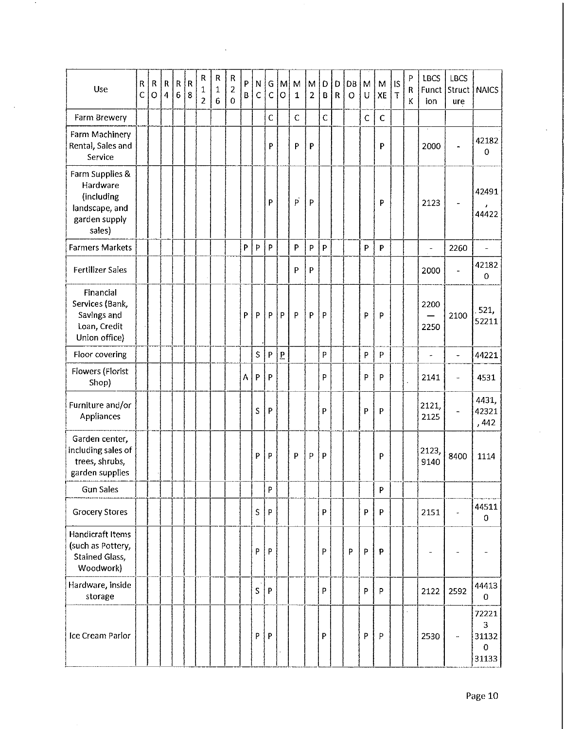| Use                                                                                    | R<br>Ċ | ${\sf R}$<br>$\mathbf O$ | $\mathbf{R}$<br>$\overline{4}$ | $\mathsf{R}$<br>$\boldsymbol{6}$ | $\overline{\mathsf{R}}$<br>8 | ${\sf R}$<br>1<br>$\overline{2}$ | ${\sf R}$<br>$\mathbf 1$<br>$6\phantom{1}$ | ${\sf R}$<br>$\overline{2}$<br>$\mathbf 0$ | P<br>B | N<br>$\mathsf{C}$ | G<br>$\mathsf{C}$         | $\mathsf{M}$<br>$\overline{O}$ | M<br>$\mathbf{1}$ | M<br>$\overline{2}$ | D<br>В       | D<br>$\mathsf{R}$ | DB<br>$\circ$ | M<br>U      | M<br>XE      | $\frac{1}{5}$<br>$\mathsf T$ | P<br>R<br>K | <b>LBCS</b><br>ion | <b>LBCS</b><br>Funct Struct   NAICS<br>ure |                                             |
|----------------------------------------------------------------------------------------|--------|--------------------------|--------------------------------|----------------------------------|------------------------------|----------------------------------|--------------------------------------------|--------------------------------------------|--------|-------------------|---------------------------|--------------------------------|-------------------|---------------------|--------------|-------------------|---------------|-------------|--------------|------------------------------|-------------|--------------------|--------------------------------------------|---------------------------------------------|
| Farm Brewery                                                                           |        |                          |                                |                                  |                              |                                  |                                            |                                            |        |                   | $\mathsf C$               |                                | $\mathsf{C}$      |                     | $\mathbf C$  |                   |               | $\mathbf C$ | $\mathsf{C}$ |                              |             |                    |                                            |                                             |
| Farm Machinery<br>Rental, Sales and<br>Service                                         |        |                          |                                |                                  |                              |                                  |                                            |                                            |        |                   | P                         |                                | P                 | $\mathsf{P}$        |              |                   |               |             | P            |                              |             | 2000               |                                            | 42182<br>$\Omega$                           |
| Farm Supplies &<br>Hardware<br>(including<br>landscape, and<br>garden supply<br>sales) |        |                          |                                |                                  |                              |                                  |                                            |                                            |        |                   | P                         |                                | $\vec{p}$         | P                   |              |                   |               |             | P            |                              |             | 2123               |                                            | 42491<br>44422                              |
| <b>Farmers Markets</b>                                                                 |        |                          |                                |                                  |                              |                                  |                                            |                                            | P      | Þ                 | $\sf P$                   |                                | P                 | $\sf p$             | P            |                   |               | P           | P            |                              |             | $\qquad \qquad -$  | 2260                                       | $\overline{\phantom{a}}$                    |
| <b>Fertilizer Sales</b>                                                                |        |                          |                                |                                  |                              |                                  |                                            |                                            |        |                   |                           |                                | P                 | P                   |              |                   |               |             |              |                              |             | 2000               | L,                                         | 42182<br>0                                  |
| Financial<br>Services (Bank,<br>Savings and<br>Loan, Credit<br>Union office)           |        |                          |                                |                                  |                              |                                  |                                            |                                            | P      | P                 | $\sf p$                   | P                              | P                 | P                   | P            |                   |               | P           | P            |                              |             | 2200<br>2250       | 2100                                       | 521,<br>52211                               |
| Floor covering                                                                         |        |                          |                                |                                  |                              |                                  |                                            |                                            |        | S                 | $\boldsymbol{\mathsf{P}}$ | $\overline{P}$                 |                   |                     | P            |                   |               | P           | P            |                              |             | $\ddot{ }$         | $\overline{a}$                             | 44221                                       |
| Flowers (Florist<br>Shop)                                                              |        |                          |                                |                                  |                              |                                  |                                            |                                            | А      | P                 | P                         |                                |                   |                     | P            |                   |               | P           | P            |                              |             | 2141               | u                                          | 4531                                        |
| Furniture and/or<br>Appliances                                                         |        |                          |                                |                                  |                              |                                  |                                            |                                            |        | S                 | P                         |                                |                   |                     | P            |                   |               | P           | P            |                              |             | 2121,<br>2125      |                                            | 4431,<br>42321<br>,442                      |
| Garden center,<br>including sales of<br>trees, shrubs,<br>garden supplies              |        |                          |                                |                                  |                              |                                  |                                            |                                            |        | P                 | P                         |                                | P                 | P                   | $\mathsf{P}$ |                   |               |             | P            |                              |             | 2123,<br>9140      | 8400                                       | 1114                                        |
| <b>Gun Sales</b>                                                                       |        |                          |                                |                                  |                              |                                  |                                            |                                            |        |                   | P                         |                                |                   |                     |              |                   |               |             | P            |                              |             |                    |                                            |                                             |
| <b>Grocery Stores</b>                                                                  |        |                          |                                |                                  |                              |                                  |                                            |                                            |        | $\sf S$           | P                         |                                |                   |                     | P            |                   |               | P           | P            |                              |             | 2151               |                                            | 44511<br>$\mathbf 0$                        |
| <b>Handicraft Items</b><br>(such as Pottery,<br>Stained Glass,<br>Woodwork)            |        |                          |                                |                                  |                              |                                  |                                            |                                            |        | P                 | P                         |                                |                   |                     | Þ            |                   | p             | P           | P            |                              |             |                    |                                            |                                             |
| Hardware, inside<br>storage                                                            |        |                          |                                |                                  |                              |                                  |                                            |                                            |        | S                 | ${\sf P}$                 |                                |                   |                     | P            |                   |               | P           | P            |                              |             | 2122               | 2592                                       | 44413<br>$\bf{0}$                           |
| Ice Cream Parlor                                                                       |        |                          |                                |                                  |                              |                                  |                                            |                                            |        | P                 | P                         |                                |                   |                     | P            |                   |               | P           | P            |                              | $\epsilon$  | 2530               |                                            | 72221<br>3<br>31132<br>$\mathbf 0$<br>31133 |

 $\bar{z}$ 

 $\hat{\phantom{a}}$ 

 $\sim$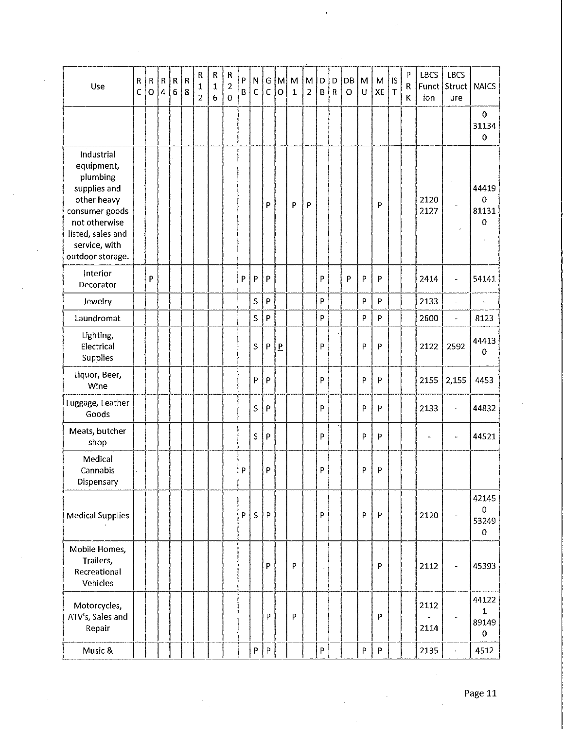| Use                                                                                                                                                              | ${\sf R}$<br>Ċ | ${\sf R}$<br>$\overline{O}$ | ${\sf R}$<br>$\overline{4}$ | ${\sf R}$<br>6 | $\mathsf R$<br>8 | R<br>$\mathbf 1$<br>$\overline{2}$ | ${\sf R}$<br>$\mathbf{1}$<br>6 | R<br>$\overline{c}$<br>$\bf{0}$ | P<br>B | $\boldsymbol{\mathsf{N}}$<br>$\mathsf{C}$ | G<br>$\overline{C}$       | M<br>$\overline{O}$ | M<br>$\mathbf{1}$ | M<br>$\overline{2}$ | D<br>B | D<br>$\mathsf{R}$ | DB<br>$\circ$ | M<br>$\cup$    | M<br>XE     | IS<br>$\mathsf{T}$ | P<br>${\sf R}$<br>К | <b>LBCS</b><br>ion | <b>LBCS</b><br>Funct Struct<br>ure | <b>NAICS</b>                               |
|------------------------------------------------------------------------------------------------------------------------------------------------------------------|----------------|-----------------------------|-----------------------------|----------------|------------------|------------------------------------|--------------------------------|---------------------------------|--------|-------------------------------------------|---------------------------|---------------------|-------------------|---------------------|--------|-------------------|---------------|----------------|-------------|--------------------|---------------------|--------------------|------------------------------------|--------------------------------------------|
|                                                                                                                                                                  |                |                             |                             |                |                  |                                    |                                |                                 |        |                                           |                           |                     |                   |                     |        |                   |               |                |             |                    |                     |                    |                                    | 0<br>31134<br>0                            |
| Industrial<br>equipment,<br>plumbing<br>supplies and<br>other heavy<br>consumer goods<br>not otherwise<br>listed, sales and<br>service, with<br>outdoor storage. |                |                             |                             |                |                  |                                    |                                |                                 |        |                                           | P                         |                     | P                 | P                   |        |                   |               |                | P           |                    |                     | 2120<br>2127       |                                    | 44419<br>0<br>81131<br>0                   |
| Interior<br>Decorator                                                                                                                                            |                | P                           |                             |                |                  |                                    |                                |                                 | P      | P                                         | P                         |                     |                   |                     | P      |                   | P             | P              | P           |                    |                     | 2414               | ÷,                                 | 54141                                      |
| Jewelry                                                                                                                                                          |                |                             |                             |                |                  |                                    |                                |                                 |        | S                                         | $\mathsf{P}$              |                     |                   |                     | P      |                   |               | P              | P           |                    |                     | 2133               | $\overline{\phantom{a}}$           | $\ddot{\phantom{0}}$                       |
| Laundromat                                                                                                                                                       |                |                             |                             |                |                  |                                    |                                |                                 |        | S                                         | $\mathsf{P}$              |                     |                   |                     | P      |                   |               | $\overline{P}$ | P           |                    |                     | 2600               | $\overline{\phantom{a}}$           | 8123                                       |
| Lighting,<br>Electrical<br>Supplies                                                                                                                              |                |                             |                             |                |                  |                                    |                                |                                 |        | S                                         | P                         | $\overline{P}$      |                   |                     | P      |                   |               | $\, {\sf P}$   | P           |                    |                     | 2122               | 2592                               | 44413<br>0                                 |
| Liquor, Beer,<br>Wine                                                                                                                                            |                |                             |                             |                |                  |                                    |                                |                                 |        | P                                         | $\mathsf{P}$              |                     |                   |                     | P      |                   |               | $\mathsf{P}$   | P           |                    |                     | 2155               | 2,155                              | 4453                                       |
| Luggage, Leather<br>Goods                                                                                                                                        |                |                             |                             |                |                  |                                    |                                |                                 |        | S                                         | P                         |                     |                   |                     | P      |                   |               | P              | P           |                    |                     | 2133               | $\ddot{\phantom{a}}$               | 44832                                      |
| Meats, butcher<br>shop                                                                                                                                           |                |                             |                             |                |                  |                                    |                                |                                 |        | S                                         | $\boldsymbol{\mathsf{P}}$ |                     |                   |                     | P      |                   |               | P              | P           |                    |                     |                    | ÷                                  | 44521                                      |
| Medical<br>Cannabis<br>Dispensary                                                                                                                                |                |                             |                             |                |                  |                                    |                                |                                 | P      |                                           | P                         |                     |                   |                     | P      |                   |               | $\mathsf P$    | P           |                    |                     |                    |                                    |                                            |
| <b>Medical Supplies</b>                                                                                                                                          |                |                             |                             |                |                  |                                    |                                |                                 | P      | $\sf S$                                   | $\mathsf{P}$              |                     |                   |                     | P      |                   |               | P              | P           |                    |                     | 2120               | $\overline{\phantom{a}}$           | 42145<br>0<br>53249<br>0                   |
| Mobile Homes,<br>Trailers,<br>Recreational<br>Vehicles                                                                                                           |                |                             |                             |                |                  |                                    |                                |                                 |        |                                           | P                         |                     | P                 |                     |        |                   |               |                | P           |                    |                     | 2112               |                                    | 45393                                      |
| Motorcycles,<br>ATV's, Sales and<br>Repair                                                                                                                       |                |                             |                             |                |                  |                                    |                                |                                 |        |                                           | P                         |                     | P                 |                     |        |                   |               |                | P           |                    |                     | 2112<br>2114       |                                    | 44122<br>$\mathbf 1$<br>89149<br>$\pmb{0}$ |
| Music &                                                                                                                                                          |                |                             |                             |                |                  |                                    |                                |                                 |        | P                                         | $\sf P$                   |                     |                   |                     | P      |                   |               | $\mathsf P$    | $\mathsf P$ |                    |                     | 2135               |                                    | 4512                                       |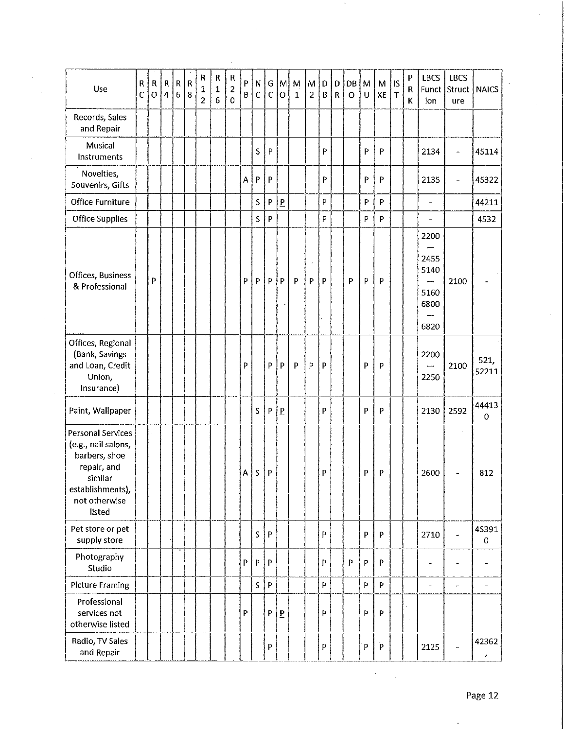| Use                                                                                                                                       | $\mathsf{R}$<br>$\mathsf{C}$ | R<br>$\mathbf 0$ | ${\sf R}$<br>$\overline{\mathbf{4}}$ | R<br>$\sqrt{6}$ | $\overline{\mathsf{R}}$<br> 8 | R<br>1<br>$\overline{\mathbf{c}}$ | R<br>1<br>6 | ${\sf R}$<br>$\overline{\mathbf{c}}$<br>$\mathbf 0$ | P<br>B | N.<br>C | $\mathsf{G}$<br>$\mathsf{C}$ | $\mathsf{M}$<br>$\circ$ | M<br>$\mathbf{1}$ | M<br>$\overline{2}$ | D<br>B                    | D<br>$\mathsf R$ | DB<br>$\mathbf O$ | M<br>U       | M<br>XE                                             | 1S<br>$\mathsf T$ | P<br>R<br>K | <b>LBCS</b><br>ion                           | <b>LBCS</b><br>Funct Struct<br>ure | <b>NAICS</b>         |
|-------------------------------------------------------------------------------------------------------------------------------------------|------------------------------|------------------|--------------------------------------|-----------------|-------------------------------|-----------------------------------|-------------|-----------------------------------------------------|--------|---------|------------------------------|-------------------------|-------------------|---------------------|---------------------------|------------------|-------------------|--------------|-----------------------------------------------------|-------------------|-------------|----------------------------------------------|------------------------------------|----------------------|
| Records, Sales<br>and Repair                                                                                                              |                              |                  |                                      |                 |                               |                                   |             |                                                     |        |         |                              |                         |                   |                     |                           |                  |                   |              |                                                     |                   |             |                                              |                                    |                      |
| Musical<br>Instruments                                                                                                                    |                              |                  |                                      |                 |                               |                                   |             |                                                     |        | S       | P                            |                         |                   |                     | P                         |                  |                   | P            | P                                                   |                   |             | 2134                                         | $\blacksquare$                     | 45114                |
| Novelties,<br>Souvenirs, Gifts                                                                                                            |                              |                  |                                      |                 |                               |                                   |             |                                                     | Α      | P       | $\mathsf{P}$                 |                         |                   |                     | P                         |                  |                   | P            | P                                                   |                   |             | 2135                                         | $\overline{\phantom{0}}$           | 45322                |
| Office Furniture                                                                                                                          |                              |                  |                                      |                 |                               |                                   |             |                                                     |        | S       | P                            | $\overline{P}$          |                   |                     | $\mathsf{P}$              |                  |                   | P            | P                                                   |                   |             | $\overline{\phantom{0}}$                     |                                    | 44211                |
| <b>Office Supplies</b>                                                                                                                    |                              |                  |                                      |                 |                               |                                   |             |                                                     |        | S       | P                            |                         |                   |                     | P                         |                  |                   | P            | P                                                   |                   |             | $\overline{a}$                               |                                    | 4532                 |
| Offices, Business<br>& Professional                                                                                                       |                              | P                |                                      |                 |                               |                                   |             |                                                     | P      | P       | P                            | P                       | $\mathsf{P}$      | P                   | P                         |                  | P                 | P            | P                                                   |                   |             | 2200<br>2455<br>5140<br>5160<br>6800<br>6820 | 2100                               |                      |
| Offices, Regional<br>(Bank, Savings<br>and Loan, Credit<br>Union,<br>Insurance)                                                           |                              |                  |                                      |                 |                               |                                   |             |                                                     | P      |         | $\sf P$                      | P.                      | $\mathsf{P}$      | P                   | P                         |                  |                   | P            | P                                                   |                   |             | 2200<br>2250                                 | 2100                               | 521,<br>52211        |
| Paint, Wallpaper                                                                                                                          |                              |                  |                                      |                 |                               |                                   |             |                                                     |        | S       | P                            | $\overline{P}$          |                   |                     | P                         |                  |                   | P            | P                                                   |                   |             | 2130                                         | 2592                               | 44413<br>$\mathbf 0$ |
| <b>Personal Services</b><br>(e.g., nail salons,<br>barbers, shoe<br>repair, and<br>similar<br>establishments),<br>not otherwise<br>listed |                              |                  |                                      |                 |                               |                                   |             |                                                     | A      | S       | $\mathsf{P}$                 |                         |                   |                     | $\boldsymbol{\mathsf{P}}$ |                  |                   | $\mathsf{P}$ | P                                                   |                   |             | 2600                                         | $\overline{\phantom{0}}$           | 812                  |
| Pet store or pet<br>supply store                                                                                                          |                              |                  |                                      |                 |                               |                                   |             |                                                     |        | S       | P                            |                         |                   |                     | P                         |                  |                   | P            | P                                                   |                   |             | 2710                                         | $\overline{\phantom{a}}$           | 45391<br>0           |
| Photography<br>Studio                                                                                                                     |                              |                  |                                      |                 |                               |                                   |             |                                                     | P      | P       | P                            |                         |                   |                     | P                         |                  | P                 | P            | P                                                   |                   |             | ۰.                                           | $\ddot{\phantom{a}}$               |                      |
| <b>Picture Framing</b>                                                                                                                    |                              |                  |                                      |                 |                               |                                   |             |                                                     |        | S       | $\boldsymbol{\mathsf{P}}$    |                         |                   |                     | P                         |                  |                   | P            | $\mathsf{P}% _{0}\left( \mathsf{P}_{0}\right) ^{T}$ |                   |             | $\blacksquare$                               | $\overline{\phantom{a}}$           | $\frac{1}{2}$        |
| Professional<br>services not<br>otherwise listed                                                                                          |                              |                  |                                      |                 |                               |                                   |             |                                                     | P      |         | P                            | $\overline{\mathbf{P}}$ |                   |                     | P                         |                  |                   | P            | P                                                   |                   |             |                                              |                                    |                      |
| Radio, TV Sales<br>and Repair                                                                                                             |                              |                  |                                      |                 |                               |                                   |             |                                                     |        |         | P                            |                         |                   |                     | P                         |                  |                   | P            | $\mathbf{P}$                                        |                   |             | 2125                                         |                                    | 42362<br>,           |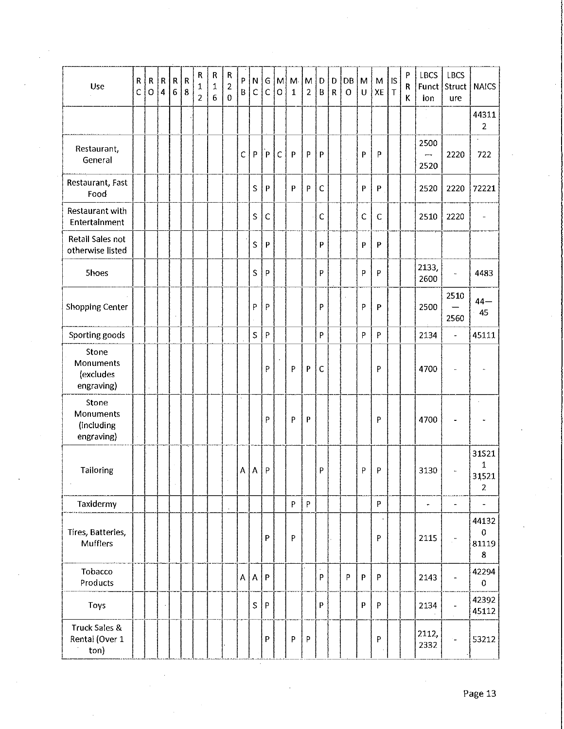| Use                                            | ${\sf R}$<br>$\mathsf C$ | ${\sf R}$<br>$\circ$ | ${\sf R}$<br>$\overline{\mathbf{4}}$ | ${\sf R}$<br>$\sqrt{6}$ | $\mathsf{R}$<br>$\boldsymbol{8}$ | R<br>1<br>$\overline{2}$ | ${\sf R}$<br>$\mathbf 1$<br>$\overline{6}$ | R<br>2<br>$\mathbf 0$ | P<br>$\mathbf{B}$ | ${\sf N}$<br>$\mathsf C$ | G<br>$\mathsf{C}$ | $\mathsf{M}$<br>$\circ$ | M <sub>1</sub><br>$\mathbf{1}$ | M<br>$\overline{2}$ | $\mathsf D$<br>$\sf B$                                                         | $\mathbf D$<br>$\mathsf{R}$ | DB<br>$\circ$ | M<br>$\cup$  | M<br>XE     | IS<br>$\mathsf T$ | P<br>R<br>K | <b>LBCS</b><br>ion                       | <b>LBCS</b><br>Funct Struct<br>ure | <b>NAICS</b>                          |
|------------------------------------------------|--------------------------|----------------------|--------------------------------------|-------------------------|----------------------------------|--------------------------|--------------------------------------------|-----------------------|-------------------|--------------------------|-------------------|-------------------------|--------------------------------|---------------------|--------------------------------------------------------------------------------|-----------------------------|---------------|--------------|-------------|-------------------|-------------|------------------------------------------|------------------------------------|---------------------------------------|
|                                                |                          |                      |                                      |                         |                                  |                          |                                            |                       |                   |                          |                   |                         |                                |                     |                                                                                |                             |               |              |             |                   |             |                                          |                                    | 44311<br>$\overline{2}$               |
| Restaurant,<br>General                         |                          |                      |                                      |                         |                                  |                          |                                            |                       | C                 | $\, {\sf p}$             | $\mathsf{P}$      | $\mathsf{C}$            | P                              | P                   | $\boldsymbol{\mathsf{p}}$                                                      |                             |               | P            | P           |                   |             | 2500<br>$\overline{\phantom{0}}$<br>2520 | 2220                               | 722                                   |
| Restaurant, Fast<br>Food                       |                          |                      |                                      |                         |                                  |                          |                                            |                       |                   | $\sf S$                  | $\mathsf{P}$      |                         | P                              | P                   | $\mathsf C$                                                                    |                             |               | $\mathsf{P}$ | P           |                   |             | 2520                                     | 2220                               | 72221                                 |
| Restaurant with<br>Entertainment               |                          |                      |                                      |                         |                                  |                          |                                            |                       |                   | $\mathsf S$              | C                 |                         |                                |                     | $\mathsf C$                                                                    |                             |               | C            | $\mathsf C$ |                   |             | 2510                                     | 2220                               | $\overline{\phantom{a}}$              |
| Retail Sales not<br>otherwise listed           |                          |                      |                                      |                         |                                  |                          |                                            |                       |                   | S                        | $\mathsf{P}$      |                         |                                |                     | P                                                                              |                             |               | $\mathsf{P}$ | P           |                   |             |                                          |                                    |                                       |
| <b>Shoes</b>                                   |                          |                      |                                      |                         |                                  |                          |                                            |                       |                   | S                        | P                 |                         |                                |                     | P                                                                              |                             |               | P            | P           |                   |             | 2133,<br>2600                            | u,                                 | 4483                                  |
| Shopping Center                                |                          |                      |                                      |                         |                                  |                          |                                            |                       |                   | P                        | P                 |                         |                                |                     | P                                                                              |                             |               | P            | P           |                   |             | 2500                                     | 2510<br>2560                       | $44-$<br>45                           |
| Sporting goods                                 |                          |                      |                                      |                         |                                  |                          |                                            |                       |                   | $\sf S$                  | P                 |                         |                                |                     | P                                                                              |                             |               | P            | P           |                   |             | 2134                                     | $\overline{\phantom{a}}$           | 45111                                 |
| Stone<br>Monuments<br>(excludes<br>engraving)  |                          |                      |                                      |                         |                                  |                          |                                            |                       |                   |                          | P                 |                         | P                              | P                   | $\mathsf C$                                                                    |                             |               |              | P           |                   |             | 4700                                     | ÷,                                 |                                       |
| Stone<br>Monuments<br>(including<br>engraving) |                          |                      |                                      |                         |                                  |                          |                                            |                       |                   |                          | P                 |                         | P                              | ${\sf P}$           |                                                                                |                             |               |              | P           |                   |             | 4700                                     |                                    |                                       |
| Tailoring                                      |                          |                      |                                      |                         |                                  |                          |                                            |                       | $\mathbf{A}$      | А                        | ${\sf P}$         |                         |                                |                     | P                                                                              |                             |               | P            | P           |                   |             | 3130                                     | ۰                                  | 31521<br>1<br>31521<br>$\overline{2}$ |
| Taxidermy                                      |                          |                      |                                      |                         |                                  |                          |                                            |                       |                   |                          |                   |                         | P                              | P                   |                                                                                |                             |               |              | P           |                   |             | $\overline{\phantom{a}}$                 | $\overline{\phantom{a}}$           | $\overline{\phantom{a}}$              |
| Tires, Batteries,<br><b>Mufflers</b>           |                          |                      |                                      |                         |                                  |                          |                                            |                       |                   |                          | P                 |                         | P                              |                     |                                                                                |                             |               |              | P           |                   |             | 2115                                     | $\mathcal{C}^{\bullet}$            | 44132<br>0<br>81119<br>8              |
| Tobacco<br>Products                            |                          |                      |                                      |                         |                                  |                          |                                            |                       |                   | A   A                    | P                 |                         |                                |                     | $\mathsf{P}% _{T}=\mathsf{P}_{T}\!\left( \mathsf{P}_{T}\right) \mathsf{P}_{T}$ |                             | P             | $\mathsf{p}$ | P           |                   |             | 2143                                     | $\blacksquare$                     | 42294<br>0                            |
| Toys                                           |                          |                      |                                      |                         |                                  |                          |                                            |                       |                   | S                        | P                 |                         |                                |                     | P                                                                              |                             |               | P            | P           |                   |             | 2134                                     |                                    | 42392<br>45112                        |
| Truck Sales &<br>Rental (Over 1<br>ton)        |                          |                      |                                      |                         |                                  |                          |                                            |                       |                   |                          | P                 |                         | P                              | P                   |                                                                                |                             |               |              | P           |                   |             | 2112,<br>2332                            | ÷.                                 | 53212                                 |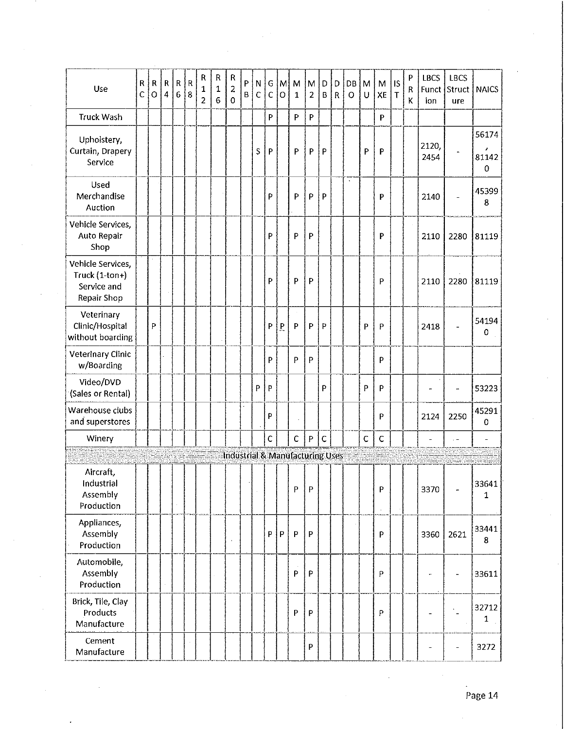| Use                                                               | R<br>$\overline{C}$ | R<br>$\overline{O}$ | $\mathsf{R}$<br>$\overline{4}$ | ${\sf R}$<br>$\boldsymbol{6}$ | $\mathsf{R}$<br>8 | ${\sf R}$<br>1<br>2 | ${\sf R}$<br>$\mathbf 1$<br>$\overline{6}$ | $\mathsf R$<br>$\overline{2}$<br>$\overline{0}$ | P<br>$\sf B$ | N<br>$\mathsf{C}$ | G<br>C       | M<br>$\circ$ | M<br>$\mathbf{1}$                          | M<br>$\overline{2}$ | D<br>$\sf B$ | D<br>$\mathsf R$ | DB<br>$\circ$ | M<br>U       | ${\sf M}$<br>XE | <b>IS</b><br>$\mathsf T$ | ${\sf P}$<br>R<br>K | <b>LBCS</b><br>ion | <b>LBCS</b><br>Funct Struct<br>ure | <b>NAICS</b>                     |
|-------------------------------------------------------------------|---------------------|---------------------|--------------------------------|-------------------------------|-------------------|---------------------|--------------------------------------------|-------------------------------------------------|--------------|-------------------|--------------|--------------|--------------------------------------------|---------------------|--------------|------------------|---------------|--------------|-----------------|--------------------------|---------------------|--------------------|------------------------------------|----------------------------------|
| <b>Truck Wash</b>                                                 |                     |                     |                                |                               |                   |                     |                                            |                                                 |              |                   | P            |              | P                                          | P                   |              |                  |               |              | P               |                          |                     |                    |                                    |                                  |
| Upholstery,<br>Curtain, Drapery<br>Service                        |                     |                     |                                |                               |                   |                     |                                            |                                                 |              | S                 | P            |              | P                                          | P                   | P            |                  |               | P            | P               |                          |                     | 2120,<br>2454      |                                    | 56174<br>,<br>81142<br>$\pmb{0}$ |
| Used<br>Merchandise<br>Auction                                    |                     |                     |                                |                               |                   |                     |                                            |                                                 |              |                   | P            |              | P                                          | P                   | P            |                  | $\bullet$     |              | P               |                          |                     | 2140               | $\overline{a}$                     | 45399<br>8                       |
| Vehicle Services,<br>Auto Repair<br>Shop                          |                     |                     |                                |                               |                   |                     |                                            |                                                 |              |                   | P            |              | P                                          | P                   |              |                  |               |              | P               |                          |                     | 2110               | 2280                               | 81119                            |
| Vehicle Services,<br>Truck (1-ton+)<br>Service and<br>Repair Shop |                     |                     |                                |                               |                   |                     |                                            |                                                 |              |                   | P            |              | P                                          | P                   |              |                  |               |              | P               |                          |                     | 2110               | 2280                               | 81119                            |
| Veterinary<br>Clinic/Hospital<br>without boarding                 |                     | P                   |                                |                               |                   |                     |                                            |                                                 |              |                   | P            | P            | P                                          | P                   | P            |                  |               | P            | P               |                          |                     | 2418               |                                    | 54194<br>$\mathbf 0$             |
| <b>Veterinary Clinic</b><br>w/Boarding                            |                     |                     |                                |                               |                   |                     |                                            |                                                 |              |                   | P            |              | P                                          | P                   |              |                  |               |              | P               |                          |                     |                    |                                    |                                  |
| Video/DVD<br>(Sales or Rental)                                    |                     |                     |                                |                               |                   |                     |                                            |                                                 |              | P                 | P            |              |                                            |                     | P            |                  |               | $\mathsf{P}$ | P               |                          |                     |                    | ÷                                  | 53223                            |
| Warehouse clubs<br>and superstores                                |                     |                     |                                |                               |                   |                     |                                            |                                                 |              |                   | P            |              |                                            |                     |              |                  |               |              | P               |                          |                     | 2124               | 2250                               | 45291<br>0                       |
| Winery                                                            |                     |                     |                                |                               |                   |                     |                                            |                                                 |              |                   | $\mathsf{C}$ |              | $\mathsf{C}$                               | P                   | $\mathsf C$  |                  |               | $\mathsf C$  | $\mathsf C$     |                          |                     |                    |                                    | $\overline{\phantom{a}}$         |
|                                                                   |                     |                     |                                |                               |                   |                     |                                            |                                                 |              |                   |              |              | <b>Industrial &amp; Manufacturing Uses</b> |                     |              |                  |               |              |                 |                          |                     |                    |                                    |                                  |
| Aircraft,<br>Industrial<br>Assembly<br>Production                 |                     |                     |                                |                               |                   |                     |                                            |                                                 |              |                   |              |              | P                                          | P                   |              |                  |               |              | P               |                          |                     | 3370               |                                    | 33641<br>1                       |
| Appliances,<br>Assembly<br>Production                             |                     |                     |                                |                               |                   |                     |                                            |                                                 |              |                   | P            | P.           | P                                          | P                   |              |                  |               |              | P               |                          |                     | 3360               | 2621                               | 33441<br>8                       |
| Automobile,<br>Assembly<br>Production                             |                     |                     |                                |                               |                   |                     |                                            |                                                 |              |                   |              |              | P                                          | P                   |              |                  |               |              | P               |                          |                     | ÷                  | ÷,                                 | 33611                            |
| Brick, Tile, Clay<br>Products<br>Manufacture                      |                     |                     |                                |                               |                   |                     |                                            |                                                 |              |                   |              |              | P                                          | P                   |              |                  |               |              | P               |                          |                     |                    |                                    | 32712<br>1                       |
| Cement<br>Manufacture                                             |                     |                     |                                |                               |                   |                     |                                            |                                                 |              |                   |              |              |                                            | P                   |              |                  |               |              |                 |                          |                     |                    | -                                  | 3272                             |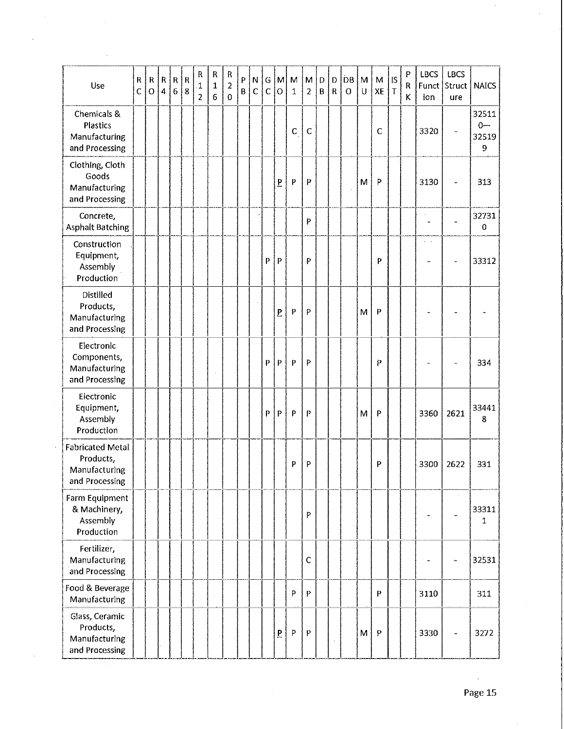| Use                                                                     | ${\sf R}$<br>C | $\mathsf{R}$<br>$\mathbf O$ | $\sf R$<br>$\overline{4}$ | $\mathsf R$<br>$\overline{6}$ | $\mathsf R$<br>8 | R<br>1<br>$\overline{2}$ | ${\sf R}$<br>1<br>6 | ${\sf R}$<br>2<br>$\Omega$ | P<br>B | N<br>$\mathsf{C}$ | G<br>$\mathbf C$ | M <br>$\overline{O}$ | M<br>$\mathbf 1$ | M<br>$\overline{2}$       | D<br>$\mathsf B$ | D<br>$\mathsf R$ | <b>DB</b><br>$\circ$ | M<br>$\cup$ | M<br>XE      | IS<br>l T | P<br>R<br>Κ | <b>LBCS</b><br>Funct<br>J<br>ion | LBCS<br>Struct<br>ure    | <b>NAICS</b>                 |
|-------------------------------------------------------------------------|----------------|-----------------------------|---------------------------|-------------------------------|------------------|--------------------------|---------------------|----------------------------|--------|-------------------|------------------|----------------------|------------------|---------------------------|------------------|------------------|----------------------|-------------|--------------|-----------|-------------|----------------------------------|--------------------------|------------------------------|
| Chemicals &<br>Plastics<br>Manufacturing<br>and Processing              |                |                             |                           |                               |                  |                          |                     |                            |        |                   |                  |                      | C                | $\mathsf C$               |                  |                  |                      |             | $\mathsf{C}$ |           |             | 3320                             |                          | 32511<br>$0 -$<br>32519<br>9 |
| Clothing, Cloth<br>Goods<br>Manufacturing<br>and Processing             |                |                             |                           |                               |                  |                          |                     |                            |        |                   |                  | p                    | $\mathsf{P}$     | P                         |                  |                  |                      | M           | $\mathsf{P}$ |           |             | 3130                             | $\overline{\phantom{0}}$ | 313                          |
| Concrete,<br><b>Asphalt Batching</b>                                    |                |                             |                           |                               |                  |                          |                     |                            |        |                   |                  |                      |                  | p                         |                  |                  |                      |             |              |           |             | 4                                |                          | 32731<br>0                   |
| Construction<br>Equipment,<br>Assembly<br>Production                    |                |                             |                           |                               |                  |                          |                     |                            |        |                   | P                | $\mathsf{P}$         |                  | P                         |                  |                  |                      |             | P            |           |             |                                  |                          | 33312                        |
| <b>Distilled</b><br>Products,<br>Manufacturing<br>and Processing        |                |                             |                           |                               |                  |                          |                     |                            |        |                   |                  | $\overline{P}$       | $\mathsf{P}$     | P                         |                  |                  |                      | M           | P            |           |             |                                  |                          |                              |
| Electronic<br>Components,<br>Manufacturing<br>and Processing            |                |                             |                           |                               |                  |                          |                     |                            |        |                   | P                | P                    | $\mathsf{P}$     | P                         |                  |                  |                      |             | P            |           |             |                                  |                          | 334                          |
| Electronic<br>Equipment,<br>Assembly<br>Production                      |                |                             |                           |                               |                  |                          |                     |                            |        |                   | P                | $\mathsf{P}$         | P                | P                         |                  |                  |                      | M           | P            |           |             | 3360                             | 2621                     | 33441<br>8                   |
| <b>Fabricated Metal</b><br>Products,<br>Manufacturing<br>and Processing |                |                             |                           |                               |                  |                          |                     |                            |        |                   |                  |                      | P                | P                         |                  |                  |                      |             | P            |           |             | 3300                             | 2622                     | 331                          |
| Farm Equipment<br>& Machinery,<br>Assembly<br>Production                |                |                             |                           |                               |                  |                          |                     |                            |        |                   |                  |                      |                  | P                         |                  |                  |                      |             |              |           |             |                                  |                          | 33311<br>$\mathbf 1$         |
| Fertilizer,<br>Manufacturing<br>and Processing                          |                |                             |                           |                               |                  |                          |                     |                            |        |                   |                  |                      |                  | $\mathsf{C}$              |                  |                  |                      |             |              |           |             | ٠                                | ÷                        | 32531                        |
| Food & Beverage<br>Manufacturing                                        |                |                             |                           |                               |                  |                          |                     |                            |        |                   |                  |                      | P                | $\boldsymbol{\mathsf{P}}$ |                  |                  |                      |             | P            |           |             | 3110                             |                          | 311                          |
| Glass, Ceramic<br>Products,<br>Manufacturing<br>and Processing          |                |                             |                           |                               |                  |                          |                     |                            |        |                   |                  | $\mathbf{P}$         | ${\sf P}$        | $\mathsf{P}$              |                  |                  |                      | M           | $\mathsf{P}$ |           |             | 3330                             |                          | 3272                         |

 $\sim$ 

 $\hat{\boldsymbol{\beta}}$ 

 $\hat{\boldsymbol{\beta}}$ 

 $\cdot$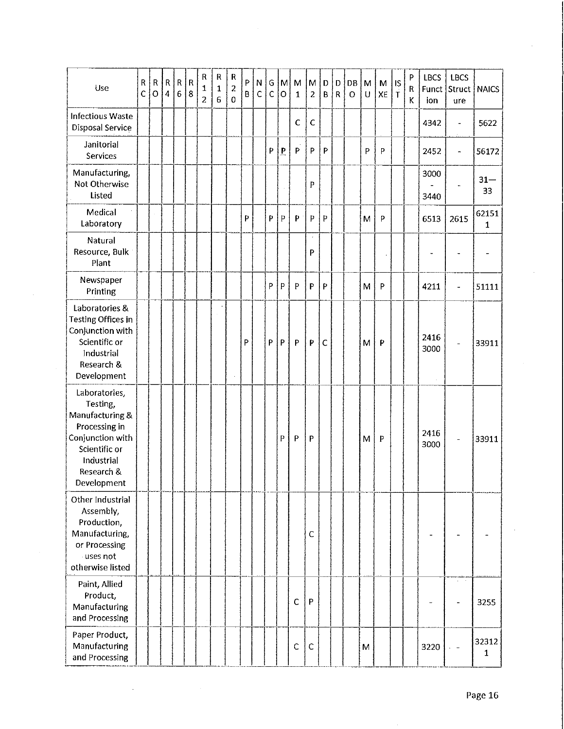| Use                                                                                                                                           | R<br>Ċ | ${\sf R}$<br>$\overline{O}$ | ${\sf R}$<br>$\overline{4}$ | ${\sf R}$<br>$\boldsymbol{6}$ | $\mathsf R$<br>8 | ${\sf R}$<br>1<br>$\overline{c}$ | ${\sf R}$<br>$\mathbf{1}$<br>6 | ${\sf R}$<br>$\overline{a}$<br>$\mathbf 0$ | P<br>B | N<br>$\mathsf{C}$ | G<br>$\mathsf{C}$ | $\mathsf{M}$<br>$\overline{O}$ | M<br>$\mathbf{1}$ | M<br>$\overline{a}$ | D<br>$\sf B$ | D<br>$\mathsf R$ | <b>DB</b><br>$\circ$ | M<br>U | M<br>XE | $\mathsf{IS}$<br>$\dot{T}$ | P<br>R<br>K | <b>LBCS</b><br>ion | LBCS<br>Funct Struct<br>ure  | <b>NAICS</b>          |
|-----------------------------------------------------------------------------------------------------------------------------------------------|--------|-----------------------------|-----------------------------|-------------------------------|------------------|----------------------------------|--------------------------------|--------------------------------------------|--------|-------------------|-------------------|--------------------------------|-------------------|---------------------|--------------|------------------|----------------------|--------|---------|----------------------------|-------------|--------------------|------------------------------|-----------------------|
| <b>Infectious Waste</b><br>Disposal Service                                                                                                   |        |                             |                             |                               |                  |                                  |                                |                                            |        |                   |                   |                                | $\mathsf{C}$      | $\mathsf C$         |              |                  |                      |        |         |                            |             | 4342               | $\qquad \qquad \blacksquare$ | 5622                  |
| Janitorial<br>Services                                                                                                                        |        |                             |                             |                               |                  |                                  |                                |                                            |        |                   | P                 | $\mathbf P$                    | P                 | P                   | P            |                  |                      | P      | P       |                            |             | 2452               | $\ddot{\phantom{1}}$         | 56172                 |
| Manufacturing,<br>Not Otherwise<br>Listed                                                                                                     |        |                             |                             |                               |                  |                                  |                                |                                            |        |                   |                   |                                |                   | P                   |              |                  |                      |        |         |                            |             | 3000<br>3440       |                              | $31 -$<br>33          |
| Medical<br>Laboratory                                                                                                                         |        |                             |                             |                               |                  |                                  |                                |                                            | P      |                   | P                 | $\, {\bf p}$                   | P                 | P                   | $\, {\bf p}$ |                  |                      | M      | P       |                            |             | 6513               | 2615                         | 62151<br>$\mathbf{1}$ |
| Natural<br>Resource, Bulk<br>Plant                                                                                                            |        |                             |                             |                               |                  |                                  |                                |                                            |        |                   |                   |                                |                   | P                   |              |                  |                      |        |         |                            |             |                    | $\blacksquare$               | $\rightarrow$         |
| Newspaper<br>Printing                                                                                                                         |        |                             |                             |                               |                  |                                  |                                |                                            |        |                   | P                 | Þ                              | P                 | P                   | P            |                  |                      | M      | P       |                            |             | 4211               | ÷,                           | 51111                 |
| Laboratories &<br><b>Testing Offices in</b><br>Conjunction with<br>Scientific or<br>Industrial<br>Research &<br>Development                   |        |                             |                             |                               |                  |                                  |                                |                                            | P      |                   | P                 | P                              | $\mathsf{P}$      | P                   | $\mathsf{C}$ |                  |                      | M      | P       |                            |             | 2416<br>3000       |                              | 33911                 |
| Laboratories,<br>Testing,<br>Manufacturing &<br>Processing in<br>Conjunction with<br>Scientific or<br>Industrial<br>Research &<br>Development |        |                             |                             |                               |                  |                                  |                                |                                            |        |                   |                   | P                              | $\mathsf{P}$      | P                   |              |                  |                      | M      | P       |                            |             | 2416<br>3000       |                              | 33911                 |
| Other Industrial<br>Assembly,<br>Production,<br>Manufacturing,<br>or Processing<br>uses not<br>otherwise listed                               |        |                             |                             |                               |                  |                                  |                                |                                            |        |                   |                   |                                |                   | $\mathsf{C}$        |              |                  |                      |        |         |                            |             |                    |                              |                       |
| Paint, Allied<br>Product,<br>Manufacturing<br>and Processing                                                                                  |        |                             |                             |                               |                  |                                  |                                |                                            |        |                   |                   |                                | $\mathsf C$       | $\mathsf P$         |              |                  |                      |        |         |                            |             |                    | $\cdot$                      | 3255                  |
| Paper Product,<br>Manufacturing<br>and Processing                                                                                             |        |                             |                             |                               |                  |                                  |                                |                                            |        |                   |                   |                                | $\mathsf C$       | $\mathsf C$         |              |                  |                      | M      |         |                            |             | 3220               | $\omega = 44$                | 32312<br>1            |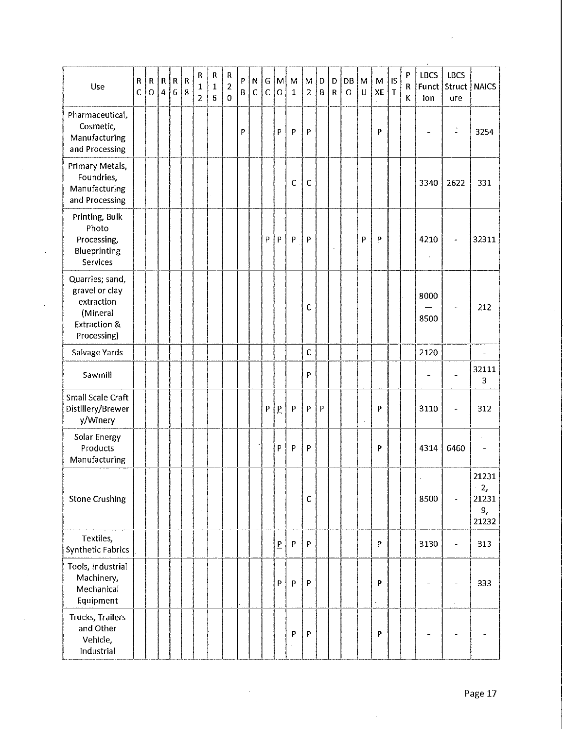| Use                                                                                                   | $\sf R$<br>$\overline{C}$ | $\mathsf R$<br>$\circ$ | ${\sf R}$<br>$\overline{\mathbf{4}}$ | $\overline{\mathsf{R}}$<br>$\overline{6}$ | $\mathsf{R}$<br>8 | R<br>1<br>$\overline{2}$ | R<br>$\mathbf{1}$<br>$6\phantom{.}$ | ${\sf R}$<br>$\mathbf 2$<br>$\bf{0}$ | P<br>B | N<br>$\mathsf{C}$ | G.<br>$\mathsf{C}$ | M<br>$\mathbf O$         | M<br>1      | M<br>$\overline{c}$ | D<br>B | D<br>$\overline{\mathsf{R}}$ | DB<br>$\circ$ | M<br>$\cup$ | M<br>XE | <b>IS</b><br>$\mathsf T$ | P<br>R<br>κ | <b>LBCS</b><br>Funct<br>ion | <b>LBCS</b><br>Struct<br>ure | <b>NAICS</b>                        |
|-------------------------------------------------------------------------------------------------------|---------------------------|------------------------|--------------------------------------|-------------------------------------------|-------------------|--------------------------|-------------------------------------|--------------------------------------|--------|-------------------|--------------------|--------------------------|-------------|---------------------|--------|------------------------------|---------------|-------------|---------|--------------------------|-------------|-----------------------------|------------------------------|-------------------------------------|
| Pharmaceutical,<br>Cosmetic,<br>Manufacturing<br>and Processing                                       |                           |                        |                                      |                                           |                   |                          |                                     |                                      | P      |                   |                    | P                        | P           | P                   |        |                              |               |             | P       |                          |             |                             | $\mathbb{I}$                 | 3254                                |
| Primary Metals,<br>Foundries,<br>Manufacturing<br>and Processing                                      |                           |                        |                                      |                                           |                   |                          |                                     |                                      |        |                   |                    |                          | $\mathsf C$ | $\mathsf{C}$        |        |                              |               |             |         |                          |             | 3340                        | 2622                         | 331                                 |
| Printing, Bulk<br>Photo<br>Processing,<br>Blueprinting<br>Services                                    |                           |                        |                                      |                                           |                   |                          |                                     |                                      |        |                   | P                  | P                        | P           | P                   |        | $\blacksquare$               |               | P           | P       |                          |             | 4210                        | $\overline{a}$               | 32311                               |
| Quarries; sand,<br>gravel or clay<br>extraction<br>(Mineral<br><b>Extraction &amp;</b><br>Processing) |                           |                        |                                      |                                           |                   |                          |                                     |                                      |        |                   |                    |                          |             | $\mathsf{C}$        |        |                              |               |             |         |                          |             | 8000<br>8500                |                              | 212                                 |
| Salvage Yards                                                                                         |                           |                        |                                      |                                           |                   |                          |                                     |                                      |        |                   |                    |                          |             | $\mathsf C$         |        |                              |               |             |         |                          |             | 2120                        |                              | $\overline{\phantom{a}}$            |
| Sawmill                                                                                               |                           |                        |                                      |                                           |                   |                          |                                     |                                      |        |                   |                    |                          |             | P                   |        |                              |               |             |         |                          |             | ۰.                          |                              | 32111<br>3                          |
| Small Scale Craft<br>Distillery/Brewer<br>y/Winery                                                    |                           |                        |                                      |                                           |                   |                          |                                     |                                      |        |                   | P                  | $\overline{P}$           | P           | P                   | P      |                              |               |             | P       |                          |             | 3110                        |                              | 312                                 |
| Solar Energy<br>Products<br>Manufacturing                                                             |                           |                        |                                      |                                           |                   |                          |                                     |                                      |        |                   |                    | P                        | P           | P                   |        |                              |               |             | P       |                          |             | 4314                        | 6460                         | $\overline{\phantom{a}}$            |
| <b>Stone Crushing</b>                                                                                 |                           |                        |                                      |                                           |                   |                          |                                     |                                      |        |                   |                    |                          |             | $\mathsf{C}$        |        |                              |               |             |         |                          |             | 8500                        |                              | 21231<br>2,<br>21231<br>9,<br>21232 |
| Textiles,<br><b>Synthetic Fabrics</b>                                                                 |                           |                        |                                      |                                           |                   |                          |                                     |                                      |        |                   |                    | $\underline{\mathsf{P}}$ | P           | P                   |        |                              |               |             | P       |                          |             | 3130                        | $\frac{1}{2}$                | 313                                 |
| Tools, Industrial<br>Machinery,<br>Mechanical<br>Equipment                                            |                           |                        |                                      |                                           |                   |                          |                                     |                                      |        |                   |                    | P                        | P           | P                   |        |                              |               |             | P       |                          |             |                             | $\alpha \rightarrow \alpha$  | 333                                 |
| Trucks, Trailers<br>and Other<br>Vehicle,<br>Industrial                                               |                           |                        |                                      |                                           |                   |                          |                                     |                                      |        |                   |                    |                          | P           | P                   |        |                              |               |             | P       |                          |             |                             |                              |                                     |

 $\ddot{\phantom{0}}$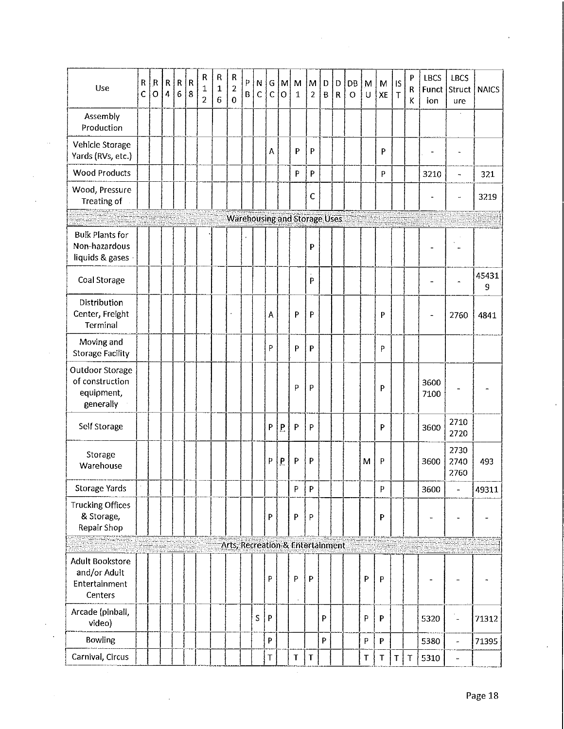| Use                                                                | ${\sf R}$<br>Ċ | R<br>$\overline{O}$ | ${\sf R}$<br>$\overline{4}$ | ${\sf R}$<br>$\bf 6$ | $\mathsf R$<br>8 | R<br>1<br>$\overline{2}$ | R<br>$\mathbf 1$<br>6 | R<br>$\overline{2}$<br>$\mathbf 0$ | P<br>$\mathbf{B}$ | N<br>$\mathsf{C}$ | G<br>$\mathsf{C}$ | M<br>$\mathbf O$ | M<br>$\mathbf{1}$                   | M<br>$\overline{2}$ | D<br>B | D<br>${\sf R}$ | DB<br>$\circ$ | M<br>U    | М<br>XE      | IS<br>$\mathsf T$ | $\boldsymbol{\mathsf{P}}$<br>R<br>K | LBCS<br>Funct<br>ion     | LBCS<br>Struct<br>ure    | <b>NAICS</b> |
|--------------------------------------------------------------------|----------------|---------------------|-----------------------------|----------------------|------------------|--------------------------|-----------------------|------------------------------------|-------------------|-------------------|-------------------|------------------|-------------------------------------|---------------------|--------|----------------|---------------|-----------|--------------|-------------------|-------------------------------------|--------------------------|--------------------------|--------------|
| Assembly<br>Production                                             |                |                     |                             |                      |                  |                          |                       |                                    |                   |                   |                   |                  |                                     |                     |        |                |               |           |              |                   |                                     |                          |                          |              |
| Vehicle Storage<br>Yards (RVs, etc.)                               |                |                     |                             |                      |                  |                          |                       |                                    |                   |                   | A                 |                  | P                                   | P                   |        |                |               |           | P            |                   |                                     |                          | $\tilde{\phantom{a}}$    |              |
| <b>Wood Products</b>                                               |                |                     |                             |                      |                  |                          |                       |                                    |                   |                   |                   |                  | P                                   | P                   |        |                |               |           | P            |                   |                                     | 3210                     | $\overline{\phantom{a}}$ | 321          |
| Wood, Pressure<br>Treating of                                      |                |                     |                             |                      |                  |                          |                       |                                    |                   |                   |                   |                  |                                     | $\mathsf{C}$        |        |                |               |           |              |                   |                                     |                          | $\ddot{\phantom{0}}$     | 3219         |
|                                                                    |                |                     |                             |                      |                  |                          |                       |                                    |                   |                   |                   |                  | <b>Warehousing and Storage Uses</b> |                     |        |                |               |           |              |                   |                                     |                          |                          |              |
| <b>Bulk Plants for</b><br>Non-hazardous<br>liquids & gases         |                |                     |                             |                      |                  |                          |                       |                                    |                   |                   |                   |                  |                                     | P                   |        |                |               |           |              |                   |                                     |                          |                          |              |
| <b>Coal Storage</b>                                                |                |                     |                             |                      |                  |                          |                       |                                    |                   |                   |                   |                  |                                     | P                   |        |                |               |           |              |                   |                                     |                          |                          | 45431<br>9   |
| Distribution<br>Center, Freight<br>Terminal                        |                |                     |                             |                      |                  |                          |                       |                                    |                   |                   | A                 |                  | P                                   | P                   |        |                |               |           | P            |                   |                                     | $\overline{\phantom{0}}$ | 2760                     | 4841         |
| Moving and<br><b>Storage Facility</b>                              |                |                     |                             |                      |                  |                          |                       |                                    |                   |                   | P                 |                  | P                                   | P                   |        |                |               |           | P            |                   |                                     |                          |                          |              |
| Outdoor Storage<br>of construction<br>equipment,<br>generally      |                |                     |                             |                      |                  |                          |                       |                                    |                   |                   |                   |                  | P                                   | P                   |        |                |               |           | P            |                   |                                     | 3600<br>7100             |                          |              |
| Self Storage                                                       |                |                     |                             |                      |                  |                          |                       |                                    |                   |                   | P                 | $\overline{P}$   | P                                   | P                   |        |                |               |           | P            |                   |                                     | 3600                     | 2710<br>2720             |              |
| Storage<br>Warehouse                                               |                |                     |                             |                      |                  |                          |                       |                                    |                   |                   | p                 | P                | P                                   | P                   |        |                |               | M         | P            |                   |                                     | 3600                     | 2730<br>2740<br>2760     | 493          |
| Storage Yards                                                      |                |                     |                             |                      |                  |                          |                       |                                    |                   |                   |                   |                  | P                                   | ${\sf P}$           |        |                |               |           | P            |                   |                                     | 3600                     | $\overline{a}$           | 49311        |
| <b>Trucking Offices</b><br>& Storage,<br>Repair Shop               |                |                     |                             |                      |                  |                          |                       |                                    |                   |                   | P                 |                  | P                                   | P                   |        |                |               |           | P            |                   |                                     |                          |                          |              |
|                                                                    |                |                     |                             |                      |                  |                          |                       |                                    |                   |                   |                   |                  | Arts, Recreation & Entertainment    |                     |        |                |               |           |              |                   |                                     |                          |                          |              |
| <b>Adult Bookstore</b><br>and/or Adult<br>Entertainment<br>Centers |                |                     |                             |                      |                  |                          |                       |                                    |                   |                   | P                 |                  | P                                   | P                   |        |                |               | ${\sf P}$ | P            |                   |                                     |                          |                          |              |
| Arcade (pinball,<br>video)                                         |                |                     |                             |                      |                  |                          |                       |                                    |                   | S                 | P                 |                  |                                     |                     | P      |                |               | P         | P            |                   |                                     | 5320                     | $\blacksquare$           | 71312        |
| Bowling                                                            |                |                     |                             |                      |                  |                          |                       |                                    |                   |                   | P                 |                  |                                     |                     | P      |                |               | P         | $\mathsf{P}$ |                   |                                     | 5380                     | ÷,                       | 71395        |
| Carnival, Circus                                                   |                |                     |                             |                      |                  |                          |                       |                                    |                   |                   | Τ                 |                  | $\mathsf T$                         | $\sf T$             |        |                |               | T         | $\mathsf T$  | $\mathsf T$       | $\Upsilon$                          | 5310                     | w,                       |              |

 $\sim$ 

Page 18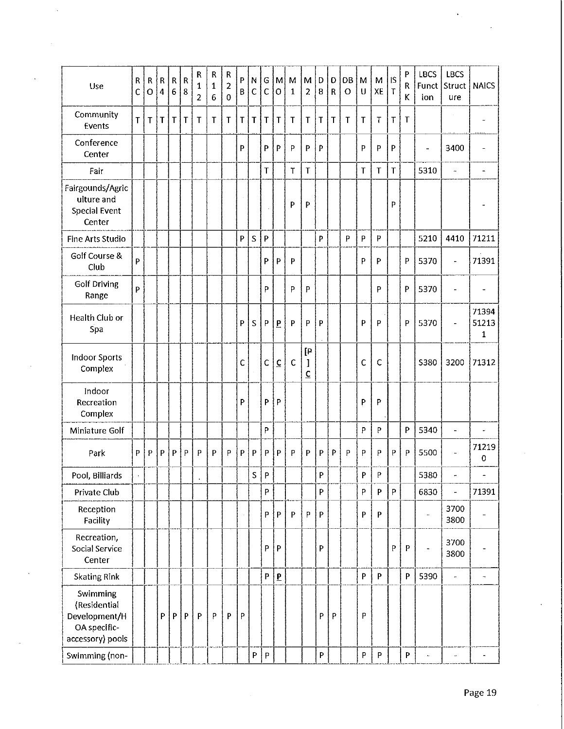| Use                                                                           | ${\sf R}$<br>C | ${\sf R}$<br>$\overline{O}$ | $\mathsf R$<br>4 | $\mathsf{R}$<br>$\epsilon$ | $\mathsf R$<br>8 | R<br>1<br>2 | ${\sf R}$<br>1<br>6 | R<br>2<br>$\Omega$ | P<br>B | N<br>$\mathsf{C}$         | G<br>$\mathsf{C}$         | $\mathsf{M}% _{T}=\mathsf{M}_{T}\!\left( a,b\right) ,\ \mathsf{M}_{T}=\mathsf{M}_{T}\!\left( a,b\right) ,$<br>O | M<br>$\mathbf{1}$ | M<br>$\overline{a}$       | D<br>$\mathsf B$ | D<br>$\mathsf{R}$ | DB<br>$\circ$ | M<br>U         | M<br>XE                   | <b>IS</b><br>$\mathsf T$ | P<br>R<br>K  | <b>LBCS</b><br>Funct<br>ion | <b>LBCS</b><br>Struct<br>ure | <b>NAICS</b>             |
|-------------------------------------------------------------------------------|----------------|-----------------------------|------------------|----------------------------|------------------|-------------|---------------------|--------------------|--------|---------------------------|---------------------------|-----------------------------------------------------------------------------------------------------------------|-------------------|---------------------------|------------------|-------------------|---------------|----------------|---------------------------|--------------------------|--------------|-----------------------------|------------------------------|--------------------------|
| Community<br>Events                                                           | $\mathsf{T}$   | T                           | T                | $\mathsf{T}$               | $\mathsf T$      | Τ           | $\mathsf T$         | Τ                  | T      | $\mathsf T$               | $\mathsf T$               | T                                                                                                               | $\mathsf T$       | T                         | T                | T                 | T             | $\mathsf T$    | T                         | $\mathsf T$              | T            |                             |                              | ۰                        |
| Conference<br>Center                                                          |                |                             |                  |                            |                  |             |                     |                    | p      |                           | P                         | P                                                                                                               | P                 | p                         | P                |                   |               | p              | P                         | P                        |              | L,                          | 3400                         | $\overline{\phantom{a}}$ |
| Fair                                                                          |                |                             |                  |                            |                  |             |                     |                    |        |                           | T                         |                                                                                                                 | $\sf T$           | T                         |                  |                   |               | T              | T                         | T                        |              | 5310                        | L,                           | $\blacksquare$           |
| Fairgounds/Agric<br>ulture and<br><b>Special Event</b><br>Center              |                |                             |                  |                            |                  |             |                     |                    |        |                           |                           |                                                                                                                 | P                 | P                         |                  |                   |               |                |                           | Þ                        |              |                             |                              |                          |
| Fine Arts Studio                                                              |                |                             |                  |                            |                  |             |                     |                    | P      | S                         | P                         |                                                                                                                 |                   |                           | P                |                   | P.            | $\overline{P}$ | P                         |                          |              | 5210                        | 4410                         | 71211                    |
| Golf Course &<br>Club                                                         | P              |                             |                  |                            |                  |             |                     |                    |        |                           | P                         | P                                                                                                               | P                 |                           |                  |                   |               | P              | P                         |                          | P            | 5370                        | $\overline{\phantom{0}}$     | 71391                    |
| <b>Golf Driving</b><br>Range                                                  | P              |                             |                  |                            |                  |             |                     |                    |        |                           | P                         |                                                                                                                 | P                 | P                         |                  |                   |               |                | P                         |                          | P            | 5370                        | L                            | $\overline{\phantom{0}}$ |
| Health Club or<br>Spa                                                         |                |                             |                  |                            |                  |             |                     |                    | P      | S                         | P                         | $\overline{P}$                                                                                                  | $\mathsf{P}$      | P                         | P                |                   |               | p              | P                         |                          | P            | 5370                        | ۰                            | 71394<br>51213<br>1      |
| <b>Indoor Sports</b><br>Complex                                               |                |                             |                  |                            |                  |             |                     |                    | Ċ      |                           | $\mathsf C$               | $\underline{\mathsf{C}}$                                                                                        | $\mathsf C$       | [₽<br>I<br>$\overline{c}$ |                  |                   |               | $\mathsf{C}$   | C                         |                          |              | <b>S380</b>                 | 3200                         | 71312                    |
| Indoor<br>Recreation<br>Complex                                               |                |                             |                  |                            |                  |             |                     |                    | P      |                           | P                         | P                                                                                                               |                   |                           |                  |                   |               | P              | P                         |                          |              |                             |                              |                          |
| Miniature Golf                                                                |                |                             |                  |                            |                  |             |                     |                    |        |                           | P                         |                                                                                                                 |                   |                           |                  |                   |               | P              | P                         |                          | ${\sf P}$    | 5340                        | $\frac{1}{2}$                | ä,                       |
| Park                                                                          | P              | P                           | P                | P                          | P                | P           | P                   | P                  | P      | $\boldsymbol{\mathsf{P}}$ | P                         | $\mathsf{P}$                                                                                                    | P                 | P                         | P                | P                 | P             | P              | P                         | P                        | P            | 5500                        |                              | 71219<br>0               |
| Pool, Billiards                                                               |                |                             |                  |                            |                  |             |                     |                    |        | S                         | P                         |                                                                                                                 |                   |                           | P                |                   |               | P              | P                         |                          |              | 5380                        | $\ddot{ }$                   | $\overline{\phantom{0}}$ |
| Private Club                                                                  |                |                             |                  |                            |                  |             |                     |                    |        |                           | P                         |                                                                                                                 |                   |                           | P                |                   |               | P              | $\boldsymbol{\mathsf{P}}$ | P                        |              | 6830                        | i.                           | 71391                    |
| Reception<br>Facility                                                         |                |                             |                  |                            |                  |             |                     |                    |        |                           | P                         | $\mathsf{P}$                                                                                                    | P                 | ${\sf P}$                 | ${\sf P}$        |                   |               | P              | $\boldsymbol{\mathsf{P}}$ |                          |              | $\overline{a}$              | 3700<br>3800                 |                          |
| Recreation,<br>Social Service<br>Center                                       |                |                             |                  |                            |                  |             |                     |                    |        |                           | P                         | $\mathsf{P}$                                                                                                    |                   |                           | P                |                   |               |                |                           | P                        | $\mathsf{P}$ | $\overline{\phantom{0}}$    | 3700<br>3800                 |                          |
| <b>Skating Rink</b>                                                           |                |                             |                  |                            |                  |             |                     |                    |        |                           | P                         | $\overline{\mathbf{b}}$                                                                                         |                   |                           |                  |                   |               | P              | P                         |                          | P            | 5390                        | $\overline{\phantom{a}}$     | $\overline{\phantom{a}}$ |
| Swimming<br>(Residential<br>Development/H<br>OA specific-<br>accessory) pools |                |                             | P                | P                          | P                | P           | $\mathsf{P}$        | $\mathsf{P}$       | P      |                           |                           |                                                                                                                 |                   |                           | P                | P                 |               | P              |                           |                          |              |                             |                              |                          |
| Swimming (non-                                                                |                |                             |                  |                            |                  |             |                     |                    |        | P                         | $\boldsymbol{\mathsf{P}}$ |                                                                                                                 |                   |                           | P                |                   |               | P              | $\, {\sf P}$              |                          | P            |                             |                              | $\overline{\phantom{0}}$ |

 $\hat{\mathbf{r}}$  .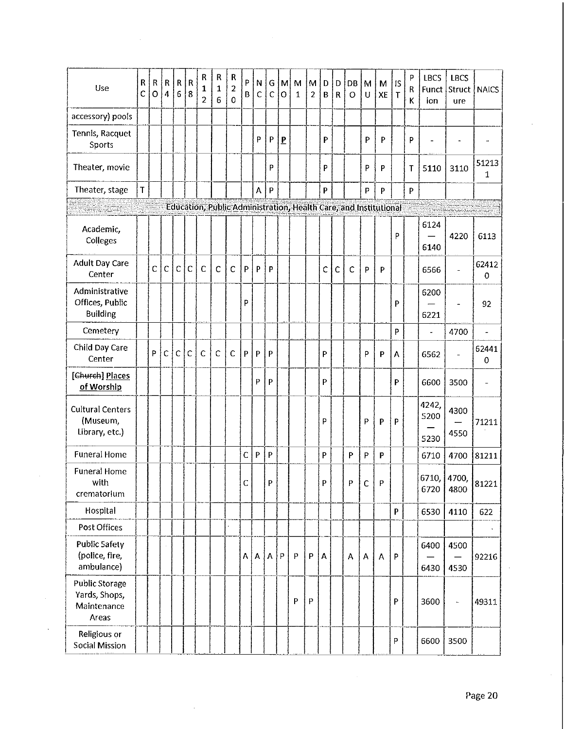| Use                                                            | R<br>C | $\sf R$<br>$\circ$ | ${\sf R}$<br>$\overline{4}$ | $\mathsf{R}$<br>6 | $\overline{\mathsf{R}}$<br>8 | R<br>1<br>$\overline{c}$ | R<br>1<br>6  | $\mathsf R$<br>$\overline{2}$<br>$\overline{0}$ | P<br>B | N<br>$\mathsf{C}$         | G<br>$\mathsf{C}$ | ŢМ<br>$\overline{O}$ | M<br>$\mathbf{1}$ | M<br>$\overline{2}$ | D<br>B                    | D<br>$\mathsf{R}$ | DB<br>$\Omega$ | M<br>U      | М<br>XE                                                          | <b>IS</b><br>$\mathsf{T}$ | $\sf p$<br>R<br>К | <b>LBCS</b><br>Funct  <br>ion | <b>LBCS</b><br>ure | Struct   NAICS |
|----------------------------------------------------------------|--------|--------------------|-----------------------------|-------------------|------------------------------|--------------------------|--------------|-------------------------------------------------|--------|---------------------------|-------------------|----------------------|-------------------|---------------------|---------------------------|-------------------|----------------|-------------|------------------------------------------------------------------|---------------------------|-------------------|-------------------------------|--------------------|----------------|
| accessory) pools                                               |        |                    |                             |                   |                              |                          |              |                                                 |        |                           |                   |                      |                   |                     |                           |                   |                |             |                                                                  |                           |                   |                               |                    |                |
| Tennis, Racquet<br>Sports                                      |        |                    |                             |                   |                              |                          |              |                                                 |        | p                         | P                 | P                    |                   |                     | P                         |                   |                | P           | P                                                                |                           | P                 | ÷,                            |                    |                |
| Theater, movie                                                 |        |                    |                             |                   |                              |                          |              |                                                 |        |                           | P                 |                      |                   |                     | P                         |                   |                | P           | P                                                                |                           | T                 | 5110                          | 3110               | 51213<br>1     |
| Theater, stage                                                 | T      |                    |                             |                   |                              |                          |              |                                                 |        | A                         | $\mathsf{P}$      |                      |                   |                     | $\boldsymbol{\mathsf{P}}$ |                   |                | P           | $\mathsf{P}$                                                     |                           | P                 |                               |                    |                |
|                                                                |        |                    |                             |                   |                              |                          |              |                                                 |        |                           |                   |                      |                   |                     |                           |                   |                |             | Education, Public Administration, Health Care, and Institutional |                           |                   |                               |                    |                |
| Academic,<br>Colleges                                          |        |                    |                             |                   |                              |                          |              |                                                 |        |                           |                   |                      |                   |                     |                           |                   |                |             |                                                                  | P                         |                   | 6124<br>6140                  | 4220               | 6113           |
| <b>Adult Day Care</b><br>Center                                |        | Ċ                  | $\overline{C}$              | $\mathsf{C}$      | $\mathsf C$                  | $\mathsf{C}$             | $\mathsf{C}$ | $\mathsf{C}$                                    | P      | P                         | P                 |                      |                   |                     | $\mathsf{C}$              | $\mathsf{C}$      | $\mathsf{C}$   | P           | P                                                                |                           |                   | 6566                          | L,                 | 62412<br>0     |
| Administrative<br>Offices, Public<br><b>Building</b>           |        |                    |                             |                   |                              |                          |              |                                                 | P      |                           |                   |                      |                   |                     |                           |                   |                |             |                                                                  | P                         |                   | 6200<br>6221                  |                    | 92             |
| Cemetery                                                       |        |                    |                             |                   |                              |                          |              |                                                 |        |                           |                   |                      |                   |                     |                           |                   |                |             |                                                                  | P                         |                   | $\overline{a}$                | 4700               | $\overline{a}$ |
| Child Day Care<br>Center                                       |        | P                  | $\mathsf C$                 | C                 | $\mathsf C$                  | $\mathsf{C}$             | $\mathsf C$  | $\mathsf{C}$                                    | P      | $\boldsymbol{\mathsf{P}}$ | P                 |                      |                   |                     | P                         |                   |                | P           | P                                                                | A                         |                   | 6562                          |                    | 62441<br>0     |
| [Church] Places<br>of Worship                                  |        |                    |                             |                   |                              |                          |              |                                                 |        | P                         | P                 |                      |                   |                     | P                         |                   |                |             |                                                                  | P                         |                   | 6600                          | 3500               |                |
| <b>Cultural Centers</b><br>(Museum,<br>Library, etc.)          |        |                    |                             |                   |                              |                          |              |                                                 |        |                           |                   |                      |                   |                     | P                         |                   |                | P           | P                                                                | P                         |                   | 4242,<br>5200<br>5230         | 4300<br>4550       | 71211          |
| <b>Funeral Home</b>                                            |        |                    |                             |                   |                              |                          |              |                                                 | C      | P                         | P                 |                      |                   |                     | P                         |                   | P              | ${\sf P}$   | P                                                                |                           |                   | 6710                          | 4700               | 81211          |
| <b>Funeral Home</b><br>with<br>crematorium                     |        |                    |                             |                   |                              |                          |              |                                                 | С      |                           | P                 |                      |                   |                     | Р                         |                   | P              | C           | Р.                                                               |                           |                   | 6710, 4700,<br>6720           | 4800               | 81221          |
| Hospital                                                       |        |                    |                             |                   |                              |                          |              |                                                 |        |                           |                   |                      |                   |                     |                           |                   |                |             |                                                                  | P                         |                   | 6530                          | 4110               | 622            |
| Post Offices                                                   |        |                    |                             |                   |                              |                          |              |                                                 |        |                           |                   |                      |                   |                     |                           |                   |                |             |                                                                  |                           |                   |                               |                    |                |
| <b>Public Safety</b><br>(police, fire,<br>ambulance)           |        |                    |                             |                   |                              |                          |              |                                                 | A      | $\mathsf{A}$              | $\mathsf{A}$      | P                    | ${\sf P}$         | P                   | A                         |                   | А              | $\mathsf A$ | Α                                                                | P                         |                   | 6400<br>6430                  | 4500<br>4530       | 92216          |
| <b>Public Storage</b><br>Yards, Shops,<br>Maintenance<br>Areas |        |                    |                             |                   |                              |                          |              |                                                 |        |                           |                   |                      | P                 | $\mathsf{P}$        |                           |                   |                |             |                                                                  | $\boldsymbol{\mathsf{P}}$ |                   | 3600                          |                    | 49311          |
| Religious or<br>Social Mission                                 |        |                    |                             |                   |                              |                          |              |                                                 |        |                           |                   |                      |                   |                     |                           |                   |                |             |                                                                  | $\mathsf{P}$              |                   | 6600                          | 3500               |                |

 $\hat{\boldsymbol{\alpha}}$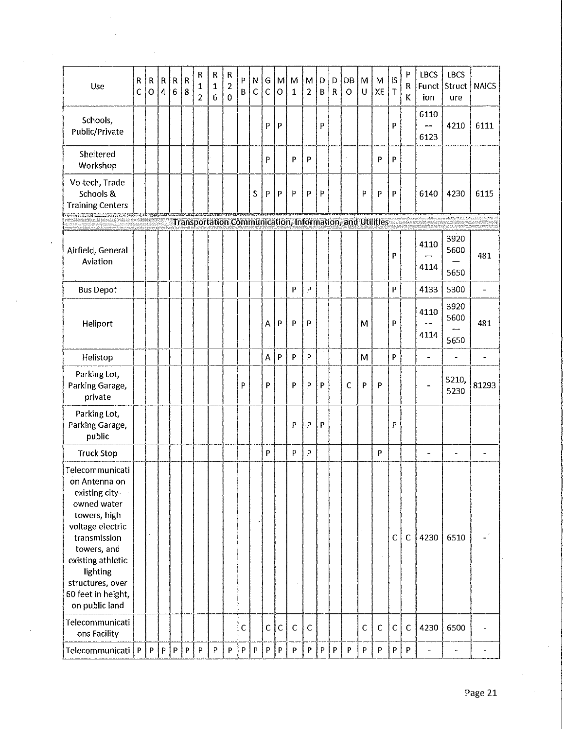| Use                                                                                                                                                                                                                               | $\mathbf R$<br>$\mathsf{C}$ | R<br>$\overline{O}$ | ${\sf R}$<br>$\overline{4}$ | R<br>$\,6$ | $\overline{\mathsf{R}}$<br>8 | R<br>$\mathbf{1}$<br>$\overline{2}$ | ${\sf R}$<br>1<br>6 | R<br>$\overline{2}$<br>$\mathbf 0$ | P<br>B       | N<br>$\mathsf{C}$ | G<br>Ċ | $\mathsf{M}$<br>$\circ$ | M<br>$\mathbf{1}$         | M<br>$\overline{2}$ | D.<br>$\mathbf{B}$ | D<br>$\mathbf{R}$ | DB<br>$\circ$                                            | M<br>U         | M<br>XE     | ß<br>$\top$ | P<br>R<br>к | <b>LBCS</b><br>Funct<br>ion | <b>LBCS</b><br>Struct<br>ure | <b>NAICS</b>             |
|-----------------------------------------------------------------------------------------------------------------------------------------------------------------------------------------------------------------------------------|-----------------------------|---------------------|-----------------------------|------------|------------------------------|-------------------------------------|---------------------|------------------------------------|--------------|-------------------|--------|-------------------------|---------------------------|---------------------|--------------------|-------------------|----------------------------------------------------------|----------------|-------------|-------------|-------------|-----------------------------|------------------------------|--------------------------|
| Schools,<br>Public/Private                                                                                                                                                                                                        |                             |                     |                             |            |                              |                                     |                     |                                    |              |                   | P      | P                       |                           |                     | P                  |                   |                                                          |                |             | P           |             | 6110<br>6123                | 4210                         | 6111                     |
| Sheltered<br>Workshop                                                                                                                                                                                                             |                             |                     |                             |            |                              |                                     |                     |                                    |              |                   | P      |                         | P                         | P                   |                    |                   |                                                          |                | P           | P           |             |                             |                              |                          |
| Vo-tech, Trade<br>Schools &<br><b>Training Centers</b>                                                                                                                                                                            |                             |                     |                             |            |                              |                                     |                     |                                    |              | S                 | P      | P                       | P                         | P                   | Þ                  |                   |                                                          | Þ              | P           | P           |             | 6140                        | 4230                         | 6115                     |
|                                                                                                                                                                                                                                   |                             |                     |                             |            |                              |                                     |                     |                                    |              |                   |        |                         |                           |                     |                    |                   | Transportation Communication, Information, and Utilities |                |             |             |             |                             |                              |                          |
| Airfield, General<br>Aviation                                                                                                                                                                                                     |                             |                     |                             |            |                              |                                     |                     |                                    |              |                   |        |                         |                           |                     |                    |                   |                                                          |                |             | P           |             | 4110<br>4114                | 3920<br>5600<br>5650         | 481                      |
| <b>Bus Depot</b>                                                                                                                                                                                                                  |                             |                     |                             |            |                              |                                     |                     |                                    |              |                   |        |                         | P                         | P                   |                    |                   |                                                          |                |             | P           |             | 4133                        | 5300                         | $\overline{\phantom{a}}$ |
| Heliport                                                                                                                                                                                                                          |                             |                     |                             |            |                              |                                     |                     |                                    |              |                   | А      | P                       | P                         | P                   |                    |                   |                                                          | M              |             | P           |             | 4110<br>4114                | 3920<br>5600<br>5650         | 481                      |
| Helistop                                                                                                                                                                                                                          |                             |                     |                             |            |                              |                                     |                     |                                    |              |                   | A      | P                       | P                         | P                   |                    |                   |                                                          | M              |             | P           |             | $\overline{\phantom{a}}$    |                              | $\blacksquare$           |
| Parking Lot,<br>Parking Garage,<br>private                                                                                                                                                                                        |                             |                     |                             |            |                              |                                     |                     |                                    | P            |                   | P      |                         | P                         | P                   | P                  |                   | Ċ                                                        | P              | P           |             |             |                             | 5210,<br>5230                | 81293                    |
| Parking Lot,<br>Parking Garage,<br>public                                                                                                                                                                                         |                             |                     |                             |            |                              |                                     |                     |                                    |              |                   |        |                         | P                         | P                   | P                  |                   |                                                          |                |             | P           |             |                             |                              |                          |
| <b>Truck Stop</b>                                                                                                                                                                                                                 |                             |                     |                             |            |                              |                                     |                     |                                    |              |                   | P      |                         | P                         | P                   |                    |                   |                                                          |                | P           |             |             | $\overline{a}$              | $\overline{\phantom{0}}$     | $\overline{\phantom{0}}$ |
| Telecommunicati<br>on Antenna on<br>existing city-<br>owned water<br>towers, high<br>voltage electric<br>transmission<br>towers, and<br>existing athletic<br>lighting<br>structures, over<br>60 feet in height,<br>on public land |                             |                     |                             |            |                              |                                     |                     |                                    |              |                   |        |                         |                           |                     |                    |                   |                                                          |                |             | $\mathsf C$ | $\mathsf C$ | 4230                        | 6510                         |                          |
| Telecommunicati<br>ons Facility                                                                                                                                                                                                   |                             |                     |                             |            |                              |                                     |                     |                                    | $\mathsf{C}$ |                   | Ċ      | $\mathsf C$             | $\mathsf C$               | $\mathsf{C}$        |                    |                   |                                                          | $\mathsf{C}$   | $\mathsf C$ | $\mathsf C$ | $\mathsf C$ | 4230                        | 6500                         |                          |
| Telecommunicati                                                                                                                                                                                                                   | $\boldsymbol{\mathsf{P}}$   | P                   | $\bar{\mathsf{P}}$          | P          | $\boldsymbol{\mathsf{P}}$    | P                                   | P                   | $\boldsymbol{\mathsf{P}}$          | ${\sf P}$    | $\mathsf{P}$      | P      | $\mathsf P$             | $\boldsymbol{\mathsf{P}}$ | P                   | P                  | P                 | $\boldsymbol{\mathsf{P}}$                                | $\overline{P}$ | P           | P           | P           | ÷.                          |                              |                          |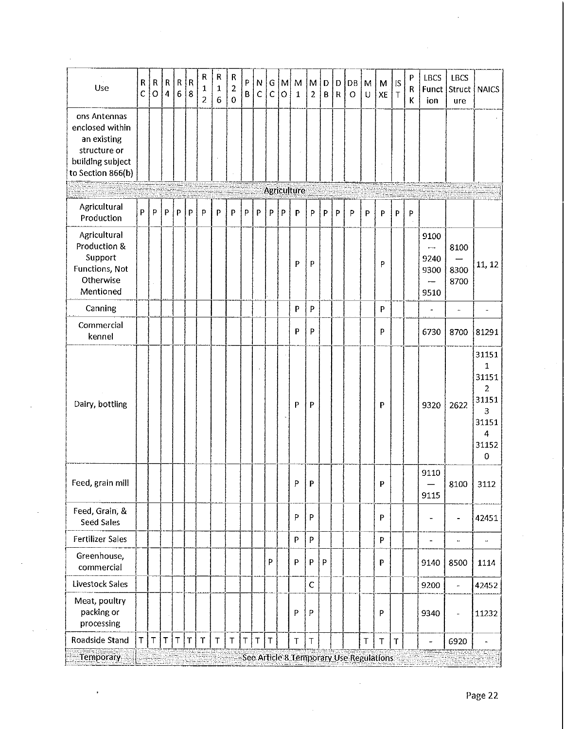| Use                                                                                                     | R<br>$\overline{C}$ | ${\sf R}$<br>$\circ$ | $\mathsf{R}$<br>$\overline{4}$ | $\mathsf R$<br>$\boldsymbol{6}$ | $\overline{\mathsf{R}}$<br>$\boldsymbol{8}$ | R<br>1<br>$\overline{2}$ | R<br>1<br>$\boldsymbol{6}$ | $\mathsf R$<br>$\overline{2}$<br>$\mathbf 0$ | P<br>B | N<br>$\mathsf{C}$ | ${\mathsf G}$<br>$\mathsf C$ | $\mathsf{M}$<br>$\circ$ | $\mathbf{M}$<br>$\mathbf{1}$ | M<br>$\overline{2}$ | D<br>B | D<br>$\mathsf{R}$ | DB<br>O | M<br>U | M<br>XE                                 | IS.<br>$\mathsf T$ | ${\sf P}$<br>R<br>K | LBCS<br>Funct<br>ion                                                                         | <b>LBCS</b><br>Struct<br>ure | <b>NAICS</b>                                                       |
|---------------------------------------------------------------------------------------------------------|---------------------|----------------------|--------------------------------|---------------------------------|---------------------------------------------|--------------------------|----------------------------|----------------------------------------------|--------|-------------------|------------------------------|-------------------------|------------------------------|---------------------|--------|-------------------|---------|--------|-----------------------------------------|--------------------|---------------------|----------------------------------------------------------------------------------------------|------------------------------|--------------------------------------------------------------------|
| ons Antennas<br>enclosed within<br>an existing<br>structure or<br>building subject<br>to Section 866(b) |                     |                      |                                |                                 |                                             |                          |                            |                                              |        |                   |                              |                         |                              |                     |        |                   |         |        |                                         |                    |                     |                                                                                              |                              |                                                                    |
|                                                                                                         |                     |                      |                                |                                 |                                             |                          |                            |                                              |        |                   |                              |                         | <b>Agriculture</b>           |                     |        |                   |         |        |                                         |                    |                     |                                                                                              |                              |                                                                    |
| Agricultural<br>Production                                                                              | P.                  | P                    | P                              | $\mathsf{P}$                    | P                                           | P                        | $\mathsf{P}$               | P                                            | P      | P                 | P                            | P                       | P                            | P                   | P      | $\mathsf{P}$      | P       | P      | P                                       | $\mathsf{P}$       | P                   |                                                                                              |                              |                                                                    |
| Agricultural<br>Production &<br>Support<br>Functions, Not<br>Otherwise<br>Mentioned                     |                     |                      |                                |                                 |                                             |                          |                            |                                              |        |                   |                              |                         | P                            | P                   |        |                   |         |        | p                                       |                    |                     | 9100<br>$\overline{\phantom{0}}$<br>9240<br>9300<br>$\overbrace{\phantom{12322111}}$<br>9510 | 8100<br>8300<br>8700         | 11, 12                                                             |
| Canning                                                                                                 |                     |                      |                                |                                 |                                             |                          |                            |                                              |        |                   |                              |                         | P                            | P                   |        |                   |         |        | P                                       |                    |                     | $\frac{1}{2}$                                                                                | $\ddot{\phantom{0}}$         | $\overline{\phantom{a}}$                                           |
| Commercial<br>kennel                                                                                    |                     |                      |                                |                                 |                                             |                          |                            |                                              |        |                   |                              |                         | P                            | P                   |        |                   |         |        | P                                       |                    |                     | 6730                                                                                         | 8700                         | 81291                                                              |
| Dairy, bottling                                                                                         |                     |                      |                                |                                 |                                             |                          |                            |                                              |        |                   |                              |                         | P                            | P                   |        |                   |         |        | P                                       |                    |                     | 9320                                                                                         | 2622                         | 31151<br>1<br>31151<br>2<br>31151<br>3<br>31151<br>4<br>31152<br>0 |
| Feed, grain mill                                                                                        |                     |                      |                                |                                 |                                             |                          |                            |                                              |        |                   |                              |                         | P.                           | P                   |        |                   |         |        | P                                       |                    |                     | 9110<br>9115                                                                                 | 8100                         | 3112                                                               |
| Feed, Grain, &<br><b>Seed Sales</b>                                                                     |                     |                      |                                |                                 |                                             |                          |                            |                                              |        |                   |                              |                         | $\mathsf{P}$                 | P                   |        |                   |         |        | P                                       |                    |                     | $\overline{\phantom{a}}$                                                                     | $\qquad \qquad \blacksquare$ | 42451                                                              |
| <b>Fertilizer Sales</b>                                                                                 |                     |                      |                                |                                 |                                             |                          |                            |                                              |        |                   |                              |                         | P                            | P                   |        |                   |         |        | P                                       |                    |                     | $\frac{1}{2}$                                                                                | $\ddot{\phantom{0}}$         |                                                                    |
| Greenhouse,<br>commercial                                                                               |                     |                      |                                |                                 |                                             |                          |                            |                                              |        |                   | P                            |                         | P                            | P                   | P      |                   |         |        | P                                       |                    |                     | 9140                                                                                         | 8500                         | 1114                                                               |
| Livestock Sales                                                                                         |                     |                      |                                |                                 |                                             |                          |                            |                                              |        |                   |                              |                         |                              | $\mathsf C$         |        |                   |         |        |                                         |                    |                     | 9200                                                                                         | $\ddot{\phantom{1}}$         | 42452                                                              |
| Meat, poultry<br>packing or<br>processing                                                               |                     |                      |                                |                                 |                                             |                          |                            |                                              |        |                   |                              |                         | P                            | P                   |        |                   |         |        | P                                       |                    |                     | 9340                                                                                         | $\qquad \qquad \blacksquare$ | 11232                                                              |
| Roadside Stand                                                                                          | T                   | $\sf T$              | T                              | $\top$                          | $\mathsf T$                                 | $\mathsf T$              | $\top$                     | $\mathsf T$                                  | $\top$ | $\top$            | $\mathsf T$                  |                         | $\top$                       | $\top$              |        |                   |         | $\top$ | $\top$                                  | T                  |                     | ÷,                                                                                           | 6920                         | $\overline{a}$                                                     |
| <b>Temporary</b>                                                                                        |                     |                      |                                |                                 |                                             |                          |                            |                                              |        |                   |                              |                         |                              |                     |        |                   |         |        | See Article 8 Temporary Use Regulations |                    |                     |                                                                                              |                              |                                                                    |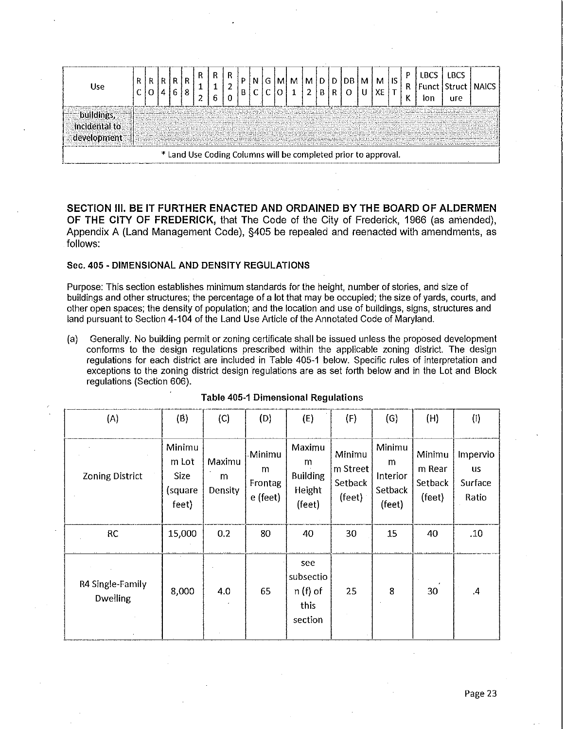

**SECTION Ill. BE IT FURTHER ENACTED AND ORDAINED BY THE BOARD OF ALDERMEN OF THE CITY OF FREDERICK,** that The Code of the City of Frederick, 1966 (as amended), Appendix A (Land Management Code), §405 be repealed and reenacted with amendments, as follows:

### **Sec. 405 - DIMENSIONAL AND DENSITY REGULATIONS**

Purpose: This section establishes minimum standards for the height, number of stories, and size of buildings and other structures; the percentage of a lot that may be occupied; the size of yards, courts, and other open spaces; the density of population; and the location and use of buildings, signs, structures and land pursuant to Section 4-104 of the Land Use Article of the Annotated Code of Maryland.

(a) Generally. No building permit or zoning certificate shall be issued unless the proposed development conforms to the design regulations prescribed within the applicable zoning district. The design regulations for each district are included in Table 405-1 below. Specific rules of interpretation and exceptions to the zoning district design regulations are as set forth below and in the Lot and Block regulations (Section 606).

| (A)                                 | (B)                                                | (C)                    | (D)                                | (E)                                                | (F)                                     | (G)                                          | (H)                                   | (1)                                       |
|-------------------------------------|----------------------------------------------------|------------------------|------------------------------------|----------------------------------------------------|-----------------------------------------|----------------------------------------------|---------------------------------------|-------------------------------------------|
| <b>Zoning District</b>              | Minimu<br>m Lot<br><b>Size</b><br>(square<br>feet) | Maximu<br>m<br>Density | Minimu<br>m<br>Frontag<br>e (feet) | Maximu<br>m<br><b>Building</b><br>Height<br>(feet) | Minimu<br>m Street<br>Setback<br>(feet) | Minimu<br>m<br>Interior<br>Setback<br>(feet) | Minimu<br>m Rear<br>Setback<br>(feet) | Impervio<br><b>us</b><br>Surface<br>Ratio |
| RC                                  | 15,000                                             | 0.2                    | 80                                 | 40                                                 | 30                                      | 15                                           | 40                                    | .10                                       |
| R4 Single-Family<br><b>Dwelling</b> | 8,000                                              | 4.0                    | 65                                 | see<br>subsectio<br>$n(f)$ of<br>this<br>section   | 25                                      | 8                                            | 30                                    | $\cal A$                                  |

#### **Table 405-1 Dimensional Regulations**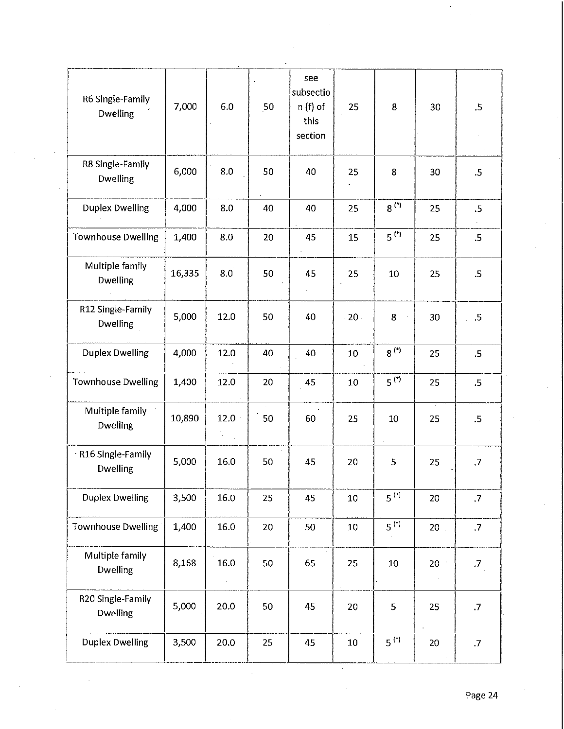| see<br>subsectio<br>R6 Single-Family<br>7,000<br>$n(f)$ of<br>6.0<br>50<br>25<br>8<br>30<br>Dwelling<br>this<br>section<br>R8 Single-Family<br>6,000<br>8.0<br>50<br>40<br>25<br>8<br>30<br><b>Dwelling</b><br>$8^{(*)}$<br>4,000<br>Duplex Dwelling<br>8.0<br>40<br>40<br>25<br>25 | .5<br>.5<br>.5  |
|-------------------------------------------------------------------------------------------------------------------------------------------------------------------------------------------------------------------------------------------------------------------------------------|-----------------|
|                                                                                                                                                                                                                                                                                     |                 |
|                                                                                                                                                                                                                                                                                     |                 |
|                                                                                                                                                                                                                                                                                     |                 |
| $5$ <sup>(*)</sup><br><b>Townhouse Dwelling</b><br>1,400<br>8.0<br>20<br>45<br>15<br>25                                                                                                                                                                                             | $.5\,$          |
| Multiple family<br>16,335<br>8.0<br>50<br>45<br>25<br>25<br>10<br>Dwelling                                                                                                                                                                                                          | $.5\,$          |
| R12 Single-Family<br>5,000<br>12.0<br>50<br>40<br>$20 -$<br>8<br>30<br><b>Dwelling</b>                                                                                                                                                                                              | $\cdot$         |
| $8^{(*)}$<br><b>Duplex Dwelling</b><br>4,000<br>12.0<br>40<br>10<br>40<br>25                                                                                                                                                                                                        | $.5\phantom{0}$ |
| $5^{(*)}$<br><b>Townhouse Dwelling</b><br>1,400<br>12.0<br>20<br>45<br>10<br>25                                                                                                                                                                                                     | $.5\phantom{0}$ |
| $\sim$<br>Multiple family<br>10,890<br>12.0<br>50<br>60<br>25<br>25<br>10<br>Dwelling                                                                                                                                                                                               | .5              |
| R16 Single-Family<br>5,000<br>16.0<br>50<br>45<br>20<br>5<br>25<br>Dwelling                                                                                                                                                                                                         | $\cdot$         |
| $5^{(*)}$<br><b>Duplex Dwelling</b><br>16.0<br>3,500<br>25<br>45<br>10<br>20                                                                                                                                                                                                        | $\cdot$         |
| $5^{(*)}$<br>1,400<br><b>Townhouse Dwelling</b><br>16.0<br>50<br>20<br>10<br>20 <sub>1</sub>                                                                                                                                                                                        | $\overline{.7}$ |
| Multiple family<br>8,168<br>16.0<br>50<br>65<br>25<br>10<br>20<br>Dwelling                                                                                                                                                                                                          | $\overline{J}$  |
| R20 Single-Family<br>5,000<br>20.0<br>50<br>45<br>5<br>25<br>20<br>Dwelling                                                                                                                                                                                                         | $\cdot$ .7      |
| $5^{(1)}$<br><b>Duplex Dwelling</b><br>3,500<br>20.0<br>25<br>45<br>10<br>20                                                                                                                                                                                                        | $\cdot$         |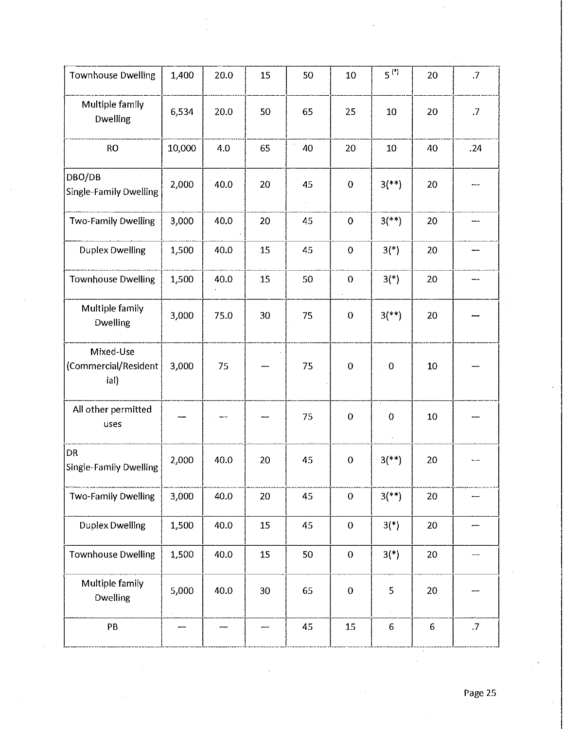| <b>Townhouse Dwelling</b>                  | 1,400  | 20.0 | 15  | 50 | 10               | $5^{(*)}$             | 20              | $\cdot$ .7 |
|--------------------------------------------|--------|------|-----|----|------------------|-----------------------|-----------------|------------|
| Multiple family<br><b>Dwelling</b>         | 6,534  | 20.0 | 50  | 65 | 25               | 10                    | 20              | .7         |
| <b>RO</b>                                  | 10,000 | 4.0  | 65  | 40 | 20               | 10                    | 40              | .24        |
| DBO/DB<br>Single-Family Dwelling           | 2,000  | 40.0 | 20  | 45 | $\mathbf 0$      | $3$ <sup>(**)</sup> ) | 20              |            |
| <b>Two-Family Dwelling</b>                 | 3,000  | 40.0 | 20  | 45 | $\bf{0}$         | $3$ (**)              | 20              |            |
| <b>Duplex Dwelling</b>                     | 1,500  | 40.0 | 15  | 45 | $\mathbf 0$ .    | $3(*)$                | 20              |            |
| <b>Townhouse Dwelling</b>                  | 1,500  | 40.0 | 15  | 50 | $\boldsymbol{0}$ | $3(*)$                | 20              |            |
| Multiple family<br><b>Dwelling</b>         | 3,000  | 75.0 | 30  | 75 | $\boldsymbol{0}$ | $3$ <sup>(**)</sup> ) | 20              |            |
| Mixed-Use<br>(Commercial/Resident<br>ial)  | 3,000  | 75   |     | 75 | $\bf{0}$         | $\mathbf 0$           | 10              |            |
| All other permitted<br>uses                |        |      |     | 75 | $\boldsymbol{0}$ | $\bf{0}$              | 10              |            |
| <b>DR</b><br><b>Single-Family Dwelling</b> | 2,000  | 40.0 | 20  | 45 | $\pmb{0}$        | $-3$ <sup>**</sup> )  | 20              |            |
| Two-Family Dwelling                        | 3,000  | 40.0 | 20  | 45 | $\mathbf 0$      | $3$ <sup>**</sup> )   | 20 <sub>1</sub> |            |
| <b>Duplex Dwelling</b>                     | 1,500  | 40.0 | 15  | 45 | $\boldsymbol{0}$ | $3(*)$ .              | 20              |            |
| <b>Townhouse Dwelling</b>                  | 1,500  | 40.0 | 15  | 50 | $\pmb{0}$        | $3(*)$                | 20              |            |
| Multiple family<br><b>Dwelling</b>         | 5,000  | 40.0 | 30  | 65 | $\boldsymbol{0}$ | 5                     | 20              |            |
| PB                                         |        |      | --- | 45 | 15               | $6 \,$                | $\sqrt{6}$      | $\cdot$    |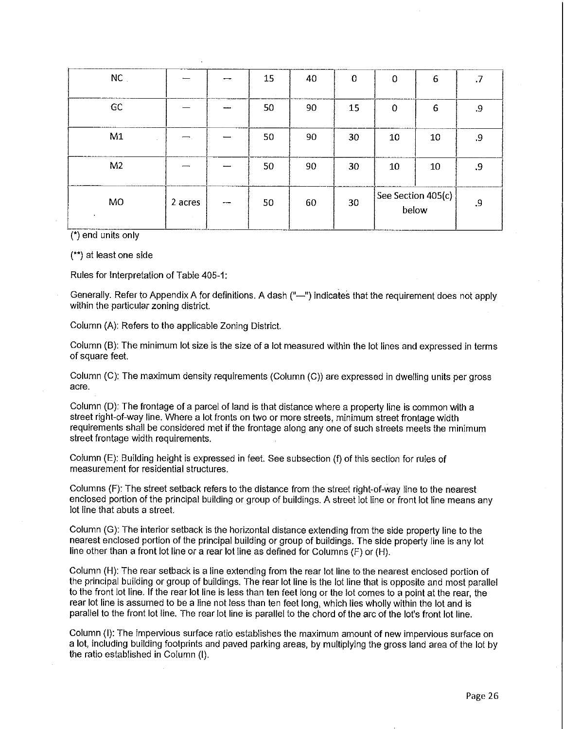| $NC$ .         |         |                          | 15 | 40 | 0  | 0                           | 6  | .7 |
|----------------|---------|--------------------------|----|----|----|-----------------------------|----|----|
| GC             |         |                          | 50 | 90 | 15 | $\mathbf 0$                 | 6  | .9 |
| M1             |         |                          | 50 | 90 | 30 | 10                          | 10 | .9 |
| M <sub>2</sub> |         |                          | 50 | 90 | 30 | 10                          | 10 | .9 |
| MO<br>$\cdot$  | 2 acres | $\overline{\phantom{a}}$ | 50 | 60 | 30 | See Section 405(c)<br>below |    | .9 |

(\*} end units only

(\*\*) at least one side

Rules for Interpretation of Table 405-1:

Generally. Refer to Appendix A for definitions. A dash ("-") indicates that the requirement does not apply within the particular zoning district.

Column (A): Refers to the applicable Zoning District.

Column (B): The minimum lot size is the size of a lot measured within the lot lines and expressed in terms of square feet.

Column (C): The maximum density requirements (Column (C)) are expressed in dwelling units per gross acre.

Column (D): The frontage of a parcel of land is that distance where a property line is common with a street right-of-way line. Where a lot fronts on two or more streets, minimum street frontage width requirements shall be considered met if the frontage along any one of such streets meets the minimum street frontage width requirements.

Column (E): Building height is expressed in feet. See subsection (f) of this section for rules of measurement for residential structures.

Columns (F): The street setback refers to the distance from the street right-of-way line to the nearest enclosed portion of the principal building or group of buildings. A street lot line or front lot line means any lot line that abuts a street.

Column (G): The interior setback is the horizontal distance extending from the side property line to the nearest enclosed portion of the principal building or group of buildings. The side property line is any lot line other than a front lot line or a rear lot line as defined for Columns (F) or (H).

Column (H): The rear setback is a line extending from the rear lot line to the nearest enclosed portion of the principal building or group of buildings. The rear lot line is the lot line that is opposite and most parallel to the front lot line. If the rear lot line is less than ten feet long or the lot comes to a point at the rear, the rear lot line is assumed to be a line not less than ten feet long, which lies wholly within the lot and is parallel to the front lot line. The rear lot line is parallel to the chord of the arc of the lot's front lot line.

Column (I): The impervious surface ratio establishes the maximum amount of new impervious surface on a lot, including building footprints and paved parking areas, by multiplying the gross land area of the lot by the ratio established in Column (I).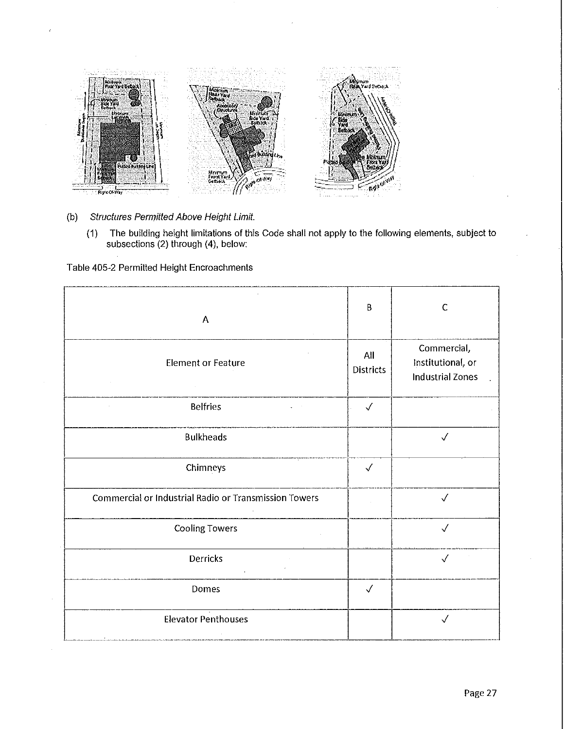

- (b) Structures Permitted Above Height Limit.
	- (1) The building height limitations of this Code shall not apply to the following elements, subject to subsections (2) through (4), below:

Table 405-2 Permitted Height Encroachments

| A                                                     | B                       | $\mathsf{C}$                                                |
|-------------------------------------------------------|-------------------------|-------------------------------------------------------------|
| <b>Element or Feature</b>                             | All<br><b>Districts</b> | Commercial,<br>Institutional, or<br><b>Industrial Zones</b> |
| <b>Belfries</b>                                       | $\checkmark$            |                                                             |
| <b>Bulkheads</b>                                      |                         | $\checkmark$                                                |
| Chimneys                                              | $\checkmark$            |                                                             |
| Commercial or Industrial Radio or Transmission Towers |                         | $\checkmark$                                                |
| Cooling Towers                                        |                         | $\checkmark$                                                |
| Derricks                                              |                         | $\checkmark$                                                |
| Domes                                                 | $\checkmark$            |                                                             |
| <b>Elevator Penthouses</b>                            |                         | $\checkmark$                                                |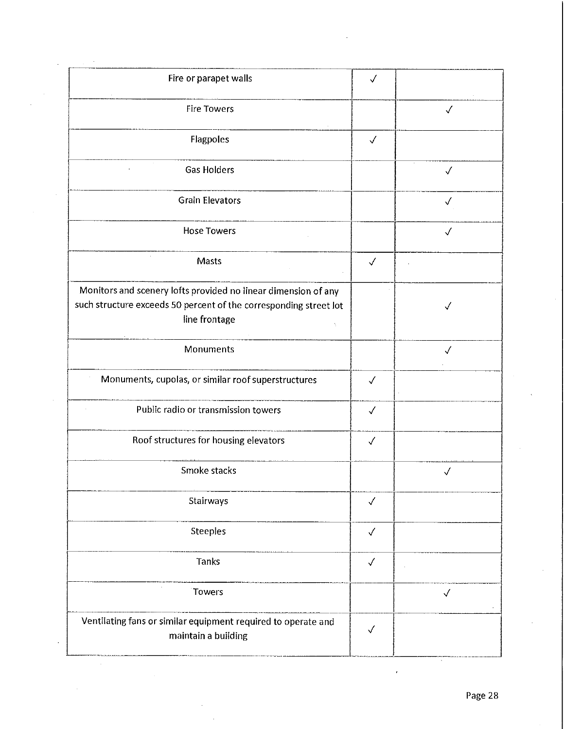| Fire or parapet walls                                                                                                                                | $\checkmark$ |              |
|------------------------------------------------------------------------------------------------------------------------------------------------------|--------------|--------------|
| <b>Fire Towers</b>                                                                                                                                   |              | $\checkmark$ |
| Flagpoles                                                                                                                                            | $\checkmark$ |              |
| <b>Gas Holders</b>                                                                                                                                   |              | $\checkmark$ |
| <b>Grain Elevators</b>                                                                                                                               |              | $\checkmark$ |
| <b>Hose Towers</b>                                                                                                                                   |              | $\checkmark$ |
| Masts                                                                                                                                                | $\checkmark$ |              |
| Monitors and scenery lofts provided no linear dimension of any<br>such structure exceeds 50 percent of the corresponding street lot<br>line frontage |              |              |
| Monuments                                                                                                                                            |              | $\checkmark$ |
| Monuments, cupolas, or similar roof superstructures                                                                                                  | $\checkmark$ |              |
| Public radio or transmission towers                                                                                                                  | $\checkmark$ |              |
| Roof structures for housing elevators                                                                                                                | $\checkmark$ |              |
| Smoke stacks                                                                                                                                         |              | √            |
| Stairways                                                                                                                                            | $\checkmark$ |              |
| <b>Steeples</b>                                                                                                                                      | $\checkmark$ |              |
| <b>Tanks</b>                                                                                                                                         | $\checkmark$ |              |
| Towers                                                                                                                                               |              | $\checkmark$ |
| Ventilating fans or similar equipment required to operate and<br>maintain a building                                                                 | $\checkmark$ |              |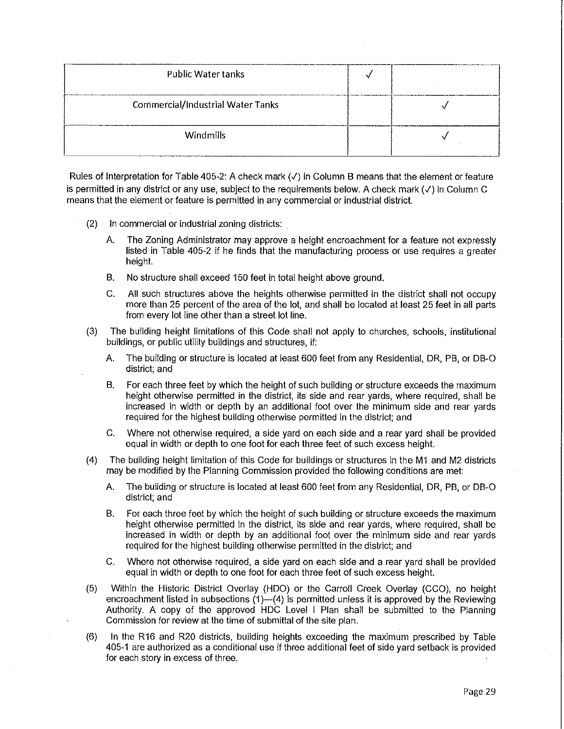| <b>Public Water tanks</b>                |  |
|------------------------------------------|--|
| <b>Commercial/Industrial Water Tanks</b> |  |
| <b>Windmills</b>                         |  |

Rules of Interpretation for Table 405-2: A check mark(✓) in Column B means that the element or feature is permitted in any district or any use, subject to the requirements below. A check mark ( ✓) in Column C means that the element or feature is permitted **in** any commercial or industrial district.

- (2) In commercial or industrial zoning districts:
	- A. The Zoning Administrator may approve a height encroachment for a feature not expressly listed in Table 405-2 if he finds that the manufacturing process or use requires a greater height.
	- B. No structure shall exceed 150 feet in total height above ground.
	- C. All such structures above the heights otherwise permitted in the district shall not occupy more than 25 percent of the area of the lot, and shall be located at least 25 feet in all parts from every lot line other than a street lot line.
- (3) The building height limitations of this Code shall not apply to churches, schools, institutional buildings, or public utility buildings and structures, if:
	- A. The building or structure is located at least 600 feet from any Residential, DR, PB, or DB-O district; and
	- B. For each three feet by which the height of such building or structure exceeds the maximum height otherwise permitted **in** the district, its side and rear yards, where required, shall be increased in width or depth by an additional foot over the minimum side and rear yards required for the highest building otherwise permitted in the district; and
	- C. Where not otherwise required, a side yard on each side and a rear yard shall be provided equal **in** width or depth to one foot for each three feet of such excess height.
- (4) The building height limitation of this Code for buildings or structures in the M1 and M2 districts may be modified by the Planning Commission provided the following conditions are met:
	- A. The building or structure is located at least 600 feet from any Residential, DR, PB, or DB-O district; and
	- B. For each three feet by which the height of such building or structure exceeds the maximum height otherwise permitted in the district, its side and rear yards, where required, shall be increased **in** width or depth by an additional foot over the minimum side and rear yards required for the highest building otherwise permitted in the district; and
	- C. Where not otherwise required, a side yard on each side and a rear yard shall be provided equal in width or depth to one foot for each three feet of such excess height.
- (5) Within the Historic District Overlay (HDO) or the Carroll Creek Overlay (CCO), no height encroachment listed in subsections  $(1)$ - $(4)$  is permitted unless it is approved by the Reviewing Authority. A copy of the approved HDC Level I Plan shall be submitted to the Planning Commission for review at the time of submittal of the site plan.
- (6) In the R16 and R20 districts, building heights exceeding the maximum prescribed by Table 405-1 are authorized as a conditional use if three additional feet of side yard setback is provided for each story in excess of three.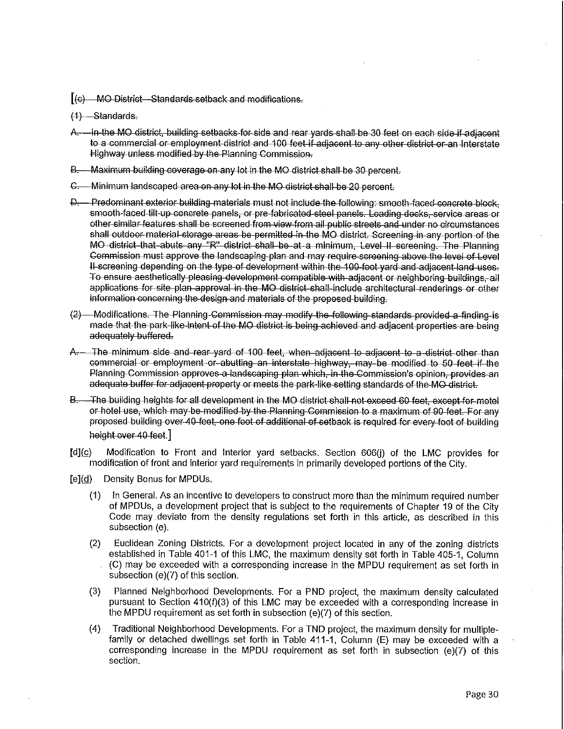$[(c)$  MO District-Standards setback and modifications.

- $(1)$  -Standards.
- A In the MO district, building setbacks for side and rear yards shall-be 30 feet on each side-if-adjacent to a commercial or employment district and 100 feet if adjacent to any other district or an Interstate Highway unless modified by the Planning Commission.
- B. Maximum building coverage on any lot in the MO district shall be 30 percent.
- C. Minimum landscaped area on any lot in the MO district-shall-be 20 percent.
- D. Predominant exterior building-materials must not include the following: smooth-faced concrete block, smooth faced tilt up concrete panels, or pre-fabricated steel panels. Loading docks, service areas or ether-similar-features-shall be screened from-view from all public streets and under no circumstances shall outdoor material-storage areas be permitted in the MO district. Screening in any portion of the MO district that abuts any "R" district shall be at a minimum, Level II screening. The Planning Gommission must approve the landscaping plan and may require screening above the level of Level H-screening depending on the type of development within the 100-foot yard and adjacent land uses. To ensure aesthetically pleasing development compatible with adjacent or neighboring buildings, all applications for site plan approval in the MO district shall include architectural renderings or other information concerning the design and materials of the proposed-building.
- $(2)$  Modifications. The Planning Commission may modify the following standards provided a finding-is made that the park-like intent-of the MO district is being achieved and adjacent properties are being adequately buffered.
- A .- The minimum side and rear yard of 100 feet, when adjacent to adjacent to a district other than {)Gmmercial or emJJloyment or-abutting an interstate highway, may be modified to 60 lee! if the Planning Commission approves a landscaping plan which, in the Commission's opinion, provides an adequate buffer for adjacent property or meets the park-like setting standards of the-MO-district.
- B. The building heights for all development in the MO district shall not exceed 60 feet, except-for-motel or hotel use, which may be modified by the Planning Commission to a maximum of 90 feet. For any proposed building over-40-feet, one foot of additional of setback is required for every-foot of building height over 40 feet.]
- [d](c) Modification to Front and Interior yard setbacks. Section 606(j) of the LMC provides for modification of front and interior yard requirements in primarily developed portions of the City.
- $[e](d)$ Density Bonus for MPDUs.
	- $(1)$ In General. As an incentive to developers to construct more than the minimum required number of MPDUs, a development project that is subject to the requirements of Chapter 19 of the City Code may. deviate from the density regulations set forth in this article, as described in this subsection (e).
	- (2) Euclidean Zoning Districts. For a development project located in any of the zoning districts established in Table 401-1 of this LMC, the maximum density set forth in Table 405-1, Column (C) may be exceeded with a corresponding increase in the MPDU requirement as set forth in subsection (e)(7) of this section.
	- (3) Planned Neighborhood Developments. For a PND project, the maximum density calculated pursuant to Section 410(f)(3) of this LMC may be exceeded with a corresponding increase in the MPDU requirement as set forth in subsection (e)(7) of this section.
	- (4) Traditional Neighborhood Developments. For a TND project, the maximum density for multiplefamily or detached dwellings set forth in Table 411-1, Column (E) may be exceeded with a corresponding increase in the MPDU requirement as set forth in subsection (e)(7) of this section.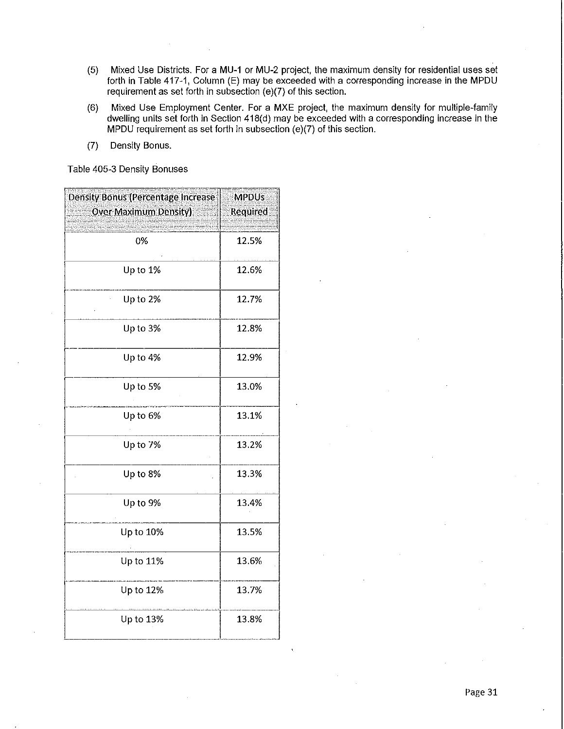- (5) Mixed Use Districts. For a MU-1 or MU-2 project, the maximum density for residential uses set forth in Table 417-1, Column (E) may be exceeded with a corresponding increase in the MPDU requirement as set forth in subsection (e)(7) of this section.
- (6) Mixed Use Employment Center. For a MXE project, the maximum density for multiple-family dwelling units set forth in Section 418(d) may be exceeded with a corresponding increase in the MPDU requirement as set forth in subsection (e)(7) of this section.
- (7) Density Bonus.

Table 405-3 Density Bonuses

| Density Bonus (Percentage Increase | <b>MPDUs</b>    |
|------------------------------------|-----------------|
| <b>Over Maximum Density)</b>       | <b>Required</b> |
| 0%                                 | 12.5%           |
| Up to 1%                           | 12.6%           |
| Up to 2%                           | 12.7%           |
| Up to 3%                           | 12.8%           |
| Up to 4%                           | 12.9%           |
| Up to 5%                           | 13.0%           |
| Up to 6%                           | 13.1%           |
| Up to 7%                           | 13.2%           |
| Up to 8%                           | 13.3%           |
| Up to 9%                           | 13.4%           |
| Up to 10%                          | 13.5%           |
| Up to 11%                          | 13.6%           |
| Up to 12%                          | 137%            |
| Up to 13%                          | 13.8%           |
|                                    |                 |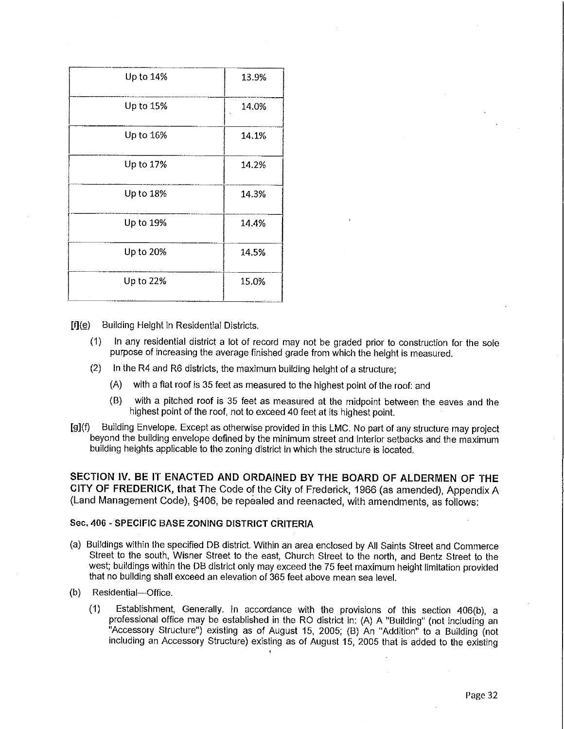| Up to 14% | 13.9% |
|-----------|-------|
| Up to 15% | 14.0% |
| Up to 16% | 14.1% |
| Up to 17% | 14.2% |
| Up to 18% | 14.3% |
| Up to 19% | 14.4% |
| Up to 20% | 14.5% |
| Up to 22% | 15.0% |

 $[f](\underline{e})$  Building Height in Residential Districts.

- $(1)$ In any residential district a lot of record may not be graded prior to construction for the sole purpose of increasing the average finished grade from which the height is measured.
- (2) In the R4 and R6 districts, the maximum building height of a structure;
	- (A) with a flat roof is 35 feet as measured to the highest point of the roof: and
	- (B) with a pitched roof is 35 feet as measured at the midpoint between the eaves and the highest point of the roof, not to exceed 40 feet at its highest point.
- [9](f) Building Envelope. Except as otherwise provided in this LMC. No part of any structure may project beyond the building envelope defined by the minimum street and interior setbacks and the maximum building heights applicable to the zoning district in which the structure is located.

**SECTION IV. BE IT ENACTED AND ORDAINED BY THE BOARD OF ALDERMEN OF THE CITY OF FREDERICK, that** The Code of the City of Frederick, 1966 (as amended), Appendix A (Land Management Code), §406, be repealed and reenacted, with amendments, as follows:

### Sec. 406 - SPECIFIC BASE ZONING DISTRICT CRITERIA

- (a) Buildings within the specified DB district. Within an area enclosed by All Saints Street and Commerce Street to the south, Wisner Street to the east, Church Street to the north, and Bentz Street to the west; buildings within the DB district only may exceed the 75 feet maximum height limitation provided that no building shall exceed an elevation of 365 feet above mean sea level.
- (b) Residential-Office.
	- (1) Establishment, Generally. In accordance with the provisions of this section 406(b), a professional office may be established in the RO district in: (A) A "Building" (not including an "Accessory Structure") existing as of August 15, 2005; (B) An "Addition" to a Building (not including an Accessory Structure) existing as of August 15, 2005 that is added to the existing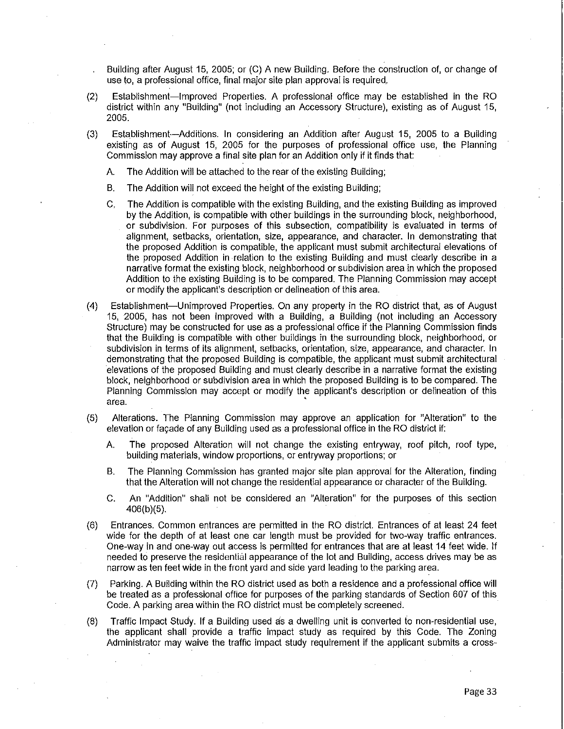Building after August 15, 2005; or (C) A new Building. Before the construction of, or change of use to, a professional office, final major site plan approval is required.

- (2) Establishment-Improved Properties. A professional office may be established **in** the RO district within any "Building" (not including an Accessory Structure), existing as of August 15, 2005.
- (3) Establishment-Additions. In considering an Addition after August 15, 2005 to a Building existing as of August 15, 2005 for the purposes of professional office use, the Planning Commission may approve a final site plan for an Addition only if it finds that:
	- A. The Addition will be attached to the rear of the existing Building;
	- B. The Addition will not exceed the height of the existing Building;
	- C. The Addition is compatible with the existing Building, and the existing Building as improved by the Addition, is compatible with other buildings in the surrounding block, neighborhood, or subdivision. For purposes of this subsection, compatibility is evaluated in terms of alignment, setbacks, orientation, size, appearance, and character. In demonstrating that the proposed Addition is compatible, the applicant must submit architectural elevations of the proposed Addition **in** relation to the existing Building and must clearly describe in a narrative format the existing block, neighborhood or subdivision area in which the proposed Addition to the existing Building is to be compared. The Planning Commission may accept or modify the applicant's description or delineation of this area.
- (4) Establishment-Unimproved Properties. On any property in the RO district that, as of August 15, 2005, has not been improved with a Building, a Building (not including an Accessory Structure) may be constructed for use as a professional office if the Planning Commission finds that the Building is compatible with other buildings in the surrounding block, neighborhood, or subdivision in terms of its alignment, setbacks, orientation, size, appearance, and character. In demonstrating that the proposed Building is compatible, the applicant must submit architectural elevations of the proposed Building and must clearly describe in a narrative format the existing block, neighborhood or subdivision area in which the proposed Building is to be compared. The Planning Commission may accept or modify the applicant's description or delineation of this **area.** <sup>~</sup>
- (5) Alterations. The Planning Commission may approve an application for "Alteration" to the elevation or façade of any Building used as a professional office in the RO district if:
	- A The proposed Alteration will not change the existing entryway, roof pitch, roof type, building materials, window proportions, or entryway proportions; or
	- B. The Planning Commission has granted major site plan approval for the Alteration, finding that the Alteration will not change the residential appearance or character of the Building.
	- C. An "Addition" shall not be considered an "Alteration" for the purposes of this section 406(b)(5).
- (6) Entrances. Common entrances are permitted in the RO district. Entrances of at least 24 feet wide for the depth of at least one car length must be provided for two-way traffic entrances. One-way in and one-way out access is permitted for entrances that are at least 14 feet wide. If needed to preserve the residential appearance of the lot and Building, access drives may be as narrow as ten feet wide in the front yard and side yard leading to the parking area.
- (7) Parking. A Building within the RO district used as both a residence and a professional office will be treated as a professional office for purposes of the parking standards of Section 607 of this Code. A parking area within the RO district must be completely screened.
- (8) Traffic Impact Study. **If** a Building used as a dwelling unit is converted io non-residential use, the applicant shall provide a traffic impact study as required by this Code. The Zoning Administrator may waive the traffic impact study requirement if the applicant submits a cross-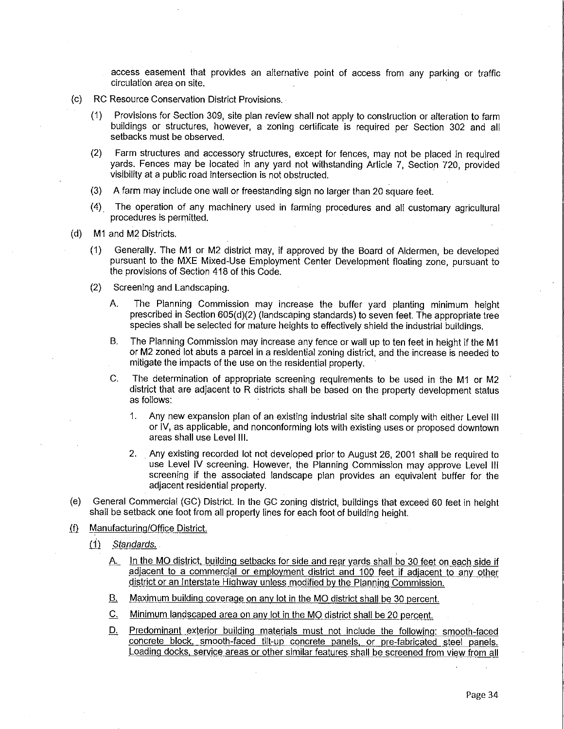access easement that provides an alternative point of access from any parking or traffic circulation area on site.

- (c) RC Resource Conservation District Provisions.
	- (1) Provisions for Section 309, site plan review shall not apply to construction or alteration to farm buildings or structures, however, a zoning certificate is required per Section 302 and all setbacks must be observed.
	- (2) Farm structures and accessory structures, except for fences, may not be placed in required yards. Fences may be located in any yard not withstanding Article 7, Section 720, provided visibility at a public road intersection is not obstructed.
	- (3) A farm may include one wall or freestanding sign no larger than 20 square feet.
	- (4) The operation of any machinery used **in** farming procedures and all customary agricultural procedures is permitted.
- (d) M1 and M2 Districts.
	- (1) Generally. The **M1** or M2 district may, if approved by the Board of Aldermen, be developed pursuant to the MXE Mixed-Use Employment Center Development floating zone, pursuant to the provisions of Section 418 of this Code.
	- (2) Screening and Landscaping.
		- A. The Planning Commission may increase the buffer yard planting minimum height prescribed **in** Section 605(d)(2) (landscaping standards) to seven feet. The appropriate tree species shall be selected for mature heights to effectively shield the industrial buildings.
		- B. The Planning Commission may increase any fence or wall up to ten feet in height if the M1 or M2 zoned lot abuts a parcel **in** a residential zoning district, and the increase is needed to mitigate the impacts of the use on the residential property.
		- C. The determination of appropriate screening requirements to be used in the M1 or M2 district that are adjacent to R districts shall be based on the property development status as follows:
			- 1. Any new expansion plan of an existing industrial site shall comply with either Level **Ill**  or IV, as applicable, and nonconforming lots with existing uses or proposed downtown areas shall use Level **111.**
			- 2. Any existing recorded lot not developed prior to August 26, 2001 shall be required to use Level IV screening. However, the Planning Commission may approve Level Ill screening if the associated landscape plan provides an equivalent buffer for the adjacent residential property.
- (e) General Commercial (GC) District. In the GC zoning district, buildings that exceed 60 feet in height shall be setback one foot from all property lines for each foot of building height.
- (f) Manufacturing/Office District.
	- $(1)$  Standards.
		- A. In the MO district, building setbacks for side and rear yards shall be 30 feet on each side if adiacent to a commercial or employment district and 100 feet if adiacent to any other district or an Interstate Highway unless modified by the Planning Commission.
		- B. Maximum building coverage on any lot in the MO district shall be 30 percent.
		- C. Minimum landscaped area on any lot in the MO district shall be 20 percent.
		- D. Predominant exterior building materials must not include the following: smooth-faced concrete block. smooth-faced tilt-up concrete panels. or pre-fabricated steel panels. Loading docks. service areas or other similar features shall be screened from view from all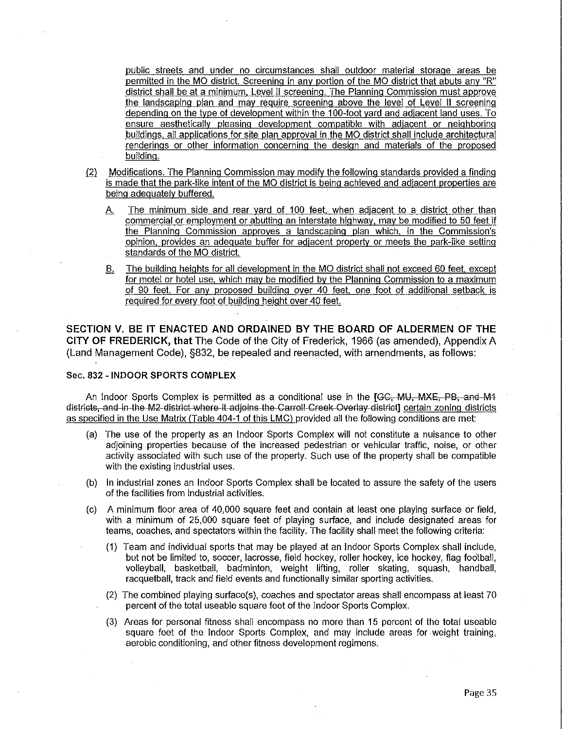public streets and under no circumstances shall outdoor material storage areas be permitted in the MO district. Screening in any portion of the MO district that abuts any "R" district shall be at a minimum. Level II screening. The Planning Commission must approve the landscaping plan and may require screening above the level of Level II screening depending on the type of development within the 100-foot yard and adjacent land uses. To ensure aesthetically pleasing development compatible with adjacent or neighboring buildings. all applications for site plan approval in the MO district shall include architectural renderings or other information concerning the design and materials of the proposed building.

- (2) Modifications. The Planning Commission may modify the following standards provided a finding is made that the park-like intent of the MO district is being achieved and adjacent properties are being adequately buffered.
	- A. The minimum side and rear yard of 100 feet, when adjacent to a district other than commercial or employment or abutting an interstate highway. may be modified to 50 feet if the Planning Commission approves a landscaping plan which. in the Commission"s opinion. provides an adequate buffer for adjacent property or meets the park-like setting standards of the MO district.
	- 8. The building heights for all development in the MO district shall not exceed 60 feet, except for motel or hotel use. which may be modified by the Planning Commission to a maximum of 90 feet. For any proposed building over 40 feet. one foot of additional setback is required for every foot of building height over 40 feet.

**SECTION V. BE IT ENACTED AND ORDAINED BY THE BOARD OF ALDERMEN OF THE CITY OF FREDERICK, that** The Code of the City of Frederick, 1966 (as amended). Appendix A (Land Management Code). §832. be repealed and reenacted. with amendments. as follows:

## Sec. 832 - **INDOOR SPORTS COMPLEX**

An Indoor Sports Complex is permitted as a conditional use in the [GC, MU, MXE, PB, and M4<br>Gislfields, and in the M2-district where it adjoins the Carroll Creek Overlay district] certain zoning districts as specified in the Use Matrix (Table 404-1 of this LMC) provided all the following conditions are met:

- (a) The use of the property as an Indoor Sports Complex will not constitute a nuisance to other adjoining properties because of the increased pedestrian or vehicular traffic. noise. or other activity associated with such use of the property. Such use of the property shall be compatible with the existing industrial uses.
- (b) In industrial zones an Indoor Sports Complex shall be located to assure the safety of the users of the facilities from industrial activities.
- (c) A minimum floor area of 40,000 square feet and contain at least one playing surface or field. with a minimum of 25,000 square feet of playing surface, and include designated areas for teams, coaches. and spectators within the facility. The facility shall meet the following criteria:
	- (1) Team and individual sports that may be played at an Indoor Sports Complex shall include, but not be limited to, soccer, lacrosse, field hockey, roller hockey, ice hockey, flag football, volleyball, basketball, badminton, weight lifting, roller skating. squash, handball, racquetball. track and field events and functionally similar sporting activities.
	- (2) The combined playing surface(s), coaches and spectator areas shall encompass at least 70 percent of the total useable square feet of the Indoor Sports Complex.
	- (3) Areas for personal fitness shall encompass no more than 15 percent of the total useable square feet of the Indoor Sports Complex, and may include areas for weight training, aerobic conditioning, and other fitness development regimens.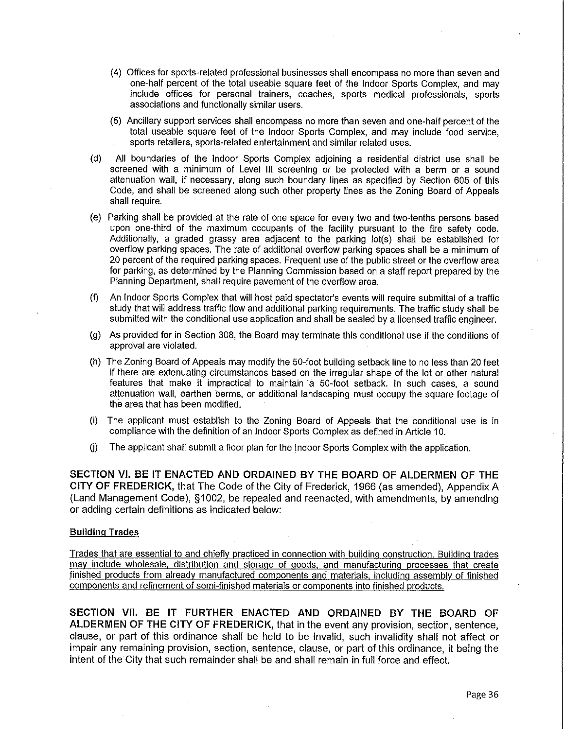- (4) Offices for sports-related professional businesses shall encompass no more than seven and one-half percent of the total useable square feet of the Indoor Sports Complex, and may include offices for personal trainers, coaches, sports medical professionals, sports associations and functionally similar users.
- (5) Ancillary support services shall encompass no more than seven and one-half percent of the total useable square feet of the Indoor Sports Complex, and may include food service, sports retailers, sports-related entertainment and similar related uses.
- (d) All boundaries of the Indoor Sports Complex adjoining a residential district use shall be screened with a minimum of Level Ill screening or be protected with a berm or a sound attenuation wall, if necessary, along such boundary lines as specified by Section 605 of this Code, and shall be screened along such other property lines as the Zoning Board of Appeals shall require.
- (e) Parking shall be provided at the rate of one space for every two and two-tenths persons based upon one-third of the maximum occupants of the facility pursuant to the fire safety code. Additionally, a graded grassy area adjacent to the parking lot(s) shall be established for overflow parking spaces. The rate of additional overflow parking spaces shall be a minimum of 20 percent of the required parking spaces. Frequent use of the public street or the overflow area for parking, as determined by the Planning Commission based on a staff report prepared by the Planning Department, shall require pavement of the overflow area.
- (f) An Indoor Sports Complex that will host paid spectator's events will require submittal of a traffic study that will address traffic flow and additional parking requirements. The traffic study shall be submitted with the conditional use application and shall be sealed by a licensed traffic engineer.
- (g) As provided for in Section 308, the Board may terminate this conditional use if the conditions of approval are violated.
- (h) The Zoning Board of Appeals may modify the 50-foot building setback line to no less than 20 feet if there are extenuating circumstances based on the irregular shape of the lot or other natural features that make it impractical to maintain a 50-foot setback. In such cases, a sound attenuation wall, earthen berms, or additional landscaping must occupy the square footage of the area that has been modified.
- (i) The applicant must establish to the Zoning Board of Appeals that the conditional use is in compliance with the definition of an Indoor Sports Complex as defined in Article 10.
- $(i)$  The applicant shall submit a floor plan for the Indoor Sports Complex with the application.

**SECTION VI. BE IT ENACTED AND ORDAINED BY THE BOARD OF ALDERMEN OF** THE **CITY OF FREDERICK,** that The Code of the City of Frederick, 1966 (as amended), Appendix A · (Land Management Code), §1002, be repealed and reenacted, with amendments, by amending or adding certain definitions as indicated below:

#### **Building Trades**

Trades that are essential to and chiefly practiced in connection with building construction. Building trades may include wholesale, distribution and storage of goods, and manufacturing processes that create finished products from already manufactured components and materials, including assembly of finished components and refinement of semi-finished materials or components into finished products.

**SECTION VII. BE IT FURTHER ENACTED AND ORDAINED BY THE BOARD OF**  ALDERMEN OF THE CITY OF FREDERICK, that in the event any provision, section, sentence, clause, or part of this ordinance shall be held to be invalid, such invalidity shall not affect or impair any remaining provision, section, sentence, clause, or part of this ordinance, it being the intent of the City that such remainder shall be and shall remain in full force and effect.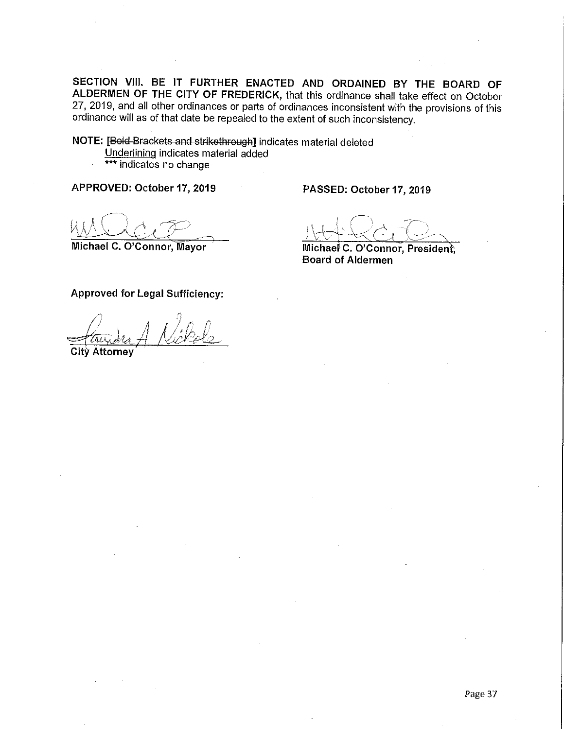**SECTION VIII. BE** IT **FURTHER ENACTED AND ORDAINED BY** THE **BOARD OF ALDERMEN OF THE CITY OF FREDERICK,** that this ordinance shall take effect on October 27, 2019, and all other ordinances or parts of ordinances inconsistent with the provisions of this ordinance will as of that date be repealed to the extent of such inconsistency.

**NOTE:** [Bold Brackets and strikethrough] indicates material deleted Underlining indicates material added \*\*\* indicates no change

**APPROVED: October 17, 2019** 

**PASSED: October 17, 2019** 

Michael C. O'Connor, Mayor

**Michael C. O'Connor, Presiden** , **Board of Aldermen** 

**Approved for Legal Sufficiency:** 

City Attorney